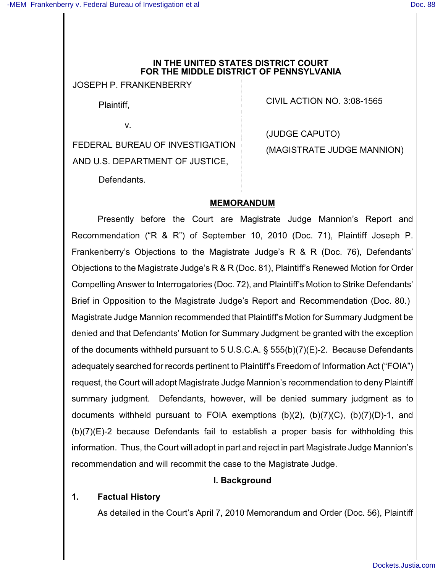#### **IN THE UNITED STATES DISTRICT COURT FOR THE MIDDLE DISTRICT OF PENNSYLVANIA**

JOSEPH P. FRANKENBERRY

Plaintiff,

v.

FEDERAL BUREAU OF INVESTIGATION AND U.S. DEPARTMENT OF JUSTICE,

CIVIL ACTION NO. 3:08-1565

(JUDGE CAPUTO) (MAGISTRATE JUDGE MANNION)

Defendants.

## **MEMORANDUM**

Presently before the Court are Magistrate Judge Mannion's Report and Recommendation ("R & R") of September 10, 2010 (Doc. 71), Plaintiff Joseph P. Frankenberry's Objections to the Magistrate Judge's R & R (Doc. 76), Defendants' Objections to the Magistrate Judge's R & R (Doc. 81), Plaintiff's Renewed Motion for Order Compelling Answer to Interrogatories (Doc. 72), and Plaintiff's Motion to Strike Defendants' Brief in Opposition to the Magistrate Judge's Report and Recommendation (Doc. 80.) Magistrate Judge Mannion recommended that Plaintiff's Motion for Summary Judgment be denied and that Defendants' Motion for Summary Judgment be granted with the exception of the documents withheld pursuant to 5 U.S.C.A. § 555(b)(7)(E)-2. Because Defendants adequately searched for records pertinent to Plaintiff's Freedom of Information Act ("FOIA") request, the Court will adopt Magistrate Judge Mannion's recommendation to deny Plaintiff summary judgment. Defendants, however, will be denied summary judgment as to documents withheld pursuant to FOIA exemptions (b)(2), (b)(7)(C), (b)(7)(D)-1, and (b)(7)(E)-2 because Defendants fail to establish a proper basis for withholding this information. Thus, the Court will adopt in part and reject in part Magistrate Judge Mannion's recommendation and will recommit the case to the Magistrate Judge.

## **I. Background**

## **1. Factual History**

As detailed in the Court's April 7, 2010 Memorandum and Order (Doc. 56), Plaintiff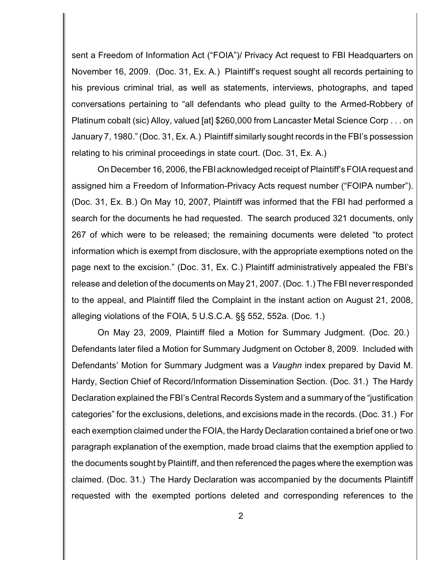sent a Freedom of Information Act ("FOIA")/ Privacy Act request to FBI Headquarters on November 16, 2009. (Doc. 31, Ex. A.) Plaintiff's request sought all records pertaining to his previous criminal trial, as well as statements, interviews, photographs, and taped conversations pertaining to "all defendants who plead guilty to the Armed-Robbery of Platinum cobalt (sic) Alloy, valued [at] \$260,000 from Lancaster Metal Science Corp . . . on January 7, 1980." (Doc. 31, Ex. A.) Plaintiff similarly sought records in the FBI's possession relating to his criminal proceedings in state court. (Doc. 31, Ex. A.)

On December 16, 2006, the FBI acknowledged receipt of Plaintiff's FOIA request and assigned him a Freedom of Information-Privacy Acts request number ("FOIPA number"). (Doc. 31, Ex. B.) On May 10, 2007, Plaintiff was informed that the FBI had performed a search for the documents he had requested. The search produced 321 documents, only 267 of which were to be released; the remaining documents were deleted "to protect information which is exempt from disclosure, with the appropriate exemptions noted on the page next to the excision." (Doc. 31, Ex. C.) Plaintiff administratively appealed the FBI's release and deletion of the documents on May 21, 2007. (Doc. 1.) The FBI never responded to the appeal, and Plaintiff filed the Complaint in the instant action on August 21, 2008, alleging violations of the FOIA, 5 U.S.C.A. §§ 552, 552a. (Doc. 1.)

On May 23, 2009, Plaintiff filed a Motion for Summary Judgment. (Doc. 20.) Defendants later filed a Motion for Summary Judgment on October 8, 2009. Included with Defendants' Motion for Summary Judgment was a *Vaughn* index prepared by David M. Hardy, Section Chief of Record/Information Dissemination Section. (Doc. 31.) The Hardy Declaration explained the FBI's Central Records System and a summary of the "justification categories" for the exclusions, deletions, and excisions made in the records. (Doc. 31.) For each exemption claimed under the FOIA, the Hardy Declaration contained a brief one or two paragraph explanation of the exemption, made broad claims that the exemption applied to the documents sought by Plaintiff, and then referenced the pages where the exemption was claimed. (Doc. 31.) The Hardy Declaration was accompanied by the documents Plaintiff requested with the exempted portions deleted and corresponding references to the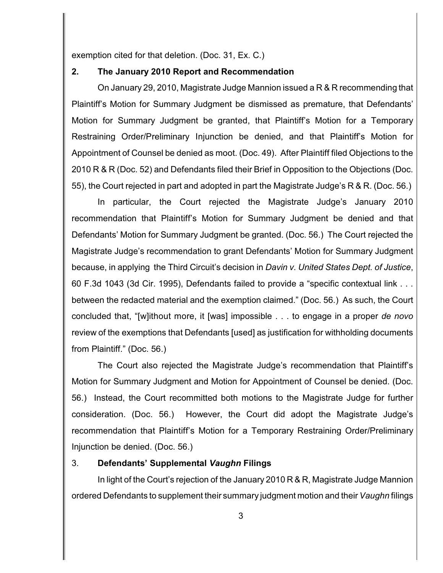exemption cited for that deletion. (Doc. 31, Ex. C.)

### **2. The January 2010 Report and Recommendation**

On January 29, 2010, Magistrate Judge Mannion issued a R & R recommending that Plaintiff's Motion for Summary Judgment be dismissed as premature, that Defendants' Motion for Summary Judgment be granted, that Plaintiff's Motion for a Temporary Restraining Order/Preliminary Injunction be denied, and that Plaintiff's Motion for Appointment of Counsel be denied as moot. (Doc. 49). After Plaintiff filed Objections to the 2010 R & R (Doc. 52) and Defendants filed their Brief in Opposition to the Objections (Doc. 55), the Court rejected in part and adopted in part the Magistrate Judge's R & R. (Doc. 56.)

In particular, the Court rejected the Magistrate Judge's January 2010 recommendation that Plaintiff's Motion for Summary Judgment be denied and that Defendants' Motion for Summary Judgment be granted. (Doc. 56.) The Court rejected the Magistrate Judge's recommendation to grant Defendants' Motion for Summary Judgment because, in applying the Third Circuit's decision in *Davin v. United States Dept. of Justice*, 60 F.3d 1043 (3d Cir. 1995), Defendants failed to provide a "specific contextual link . . . between the redacted material and the exemption claimed." (Doc. 56.) As such, the Court concluded that, "[w]ithout more, it [was] impossible . . . to engage in a proper *de novo* review of the exemptions that Defendants [used] as justification for withholding documents from Plaintiff." (Doc. 56.)

The Court also rejected the Magistrate Judge's recommendation that Plaintiff's Motion for Summary Judgment and Motion for Appointment of Counsel be denied. (Doc. 56.) Instead, the Court recommitted both motions to the Magistrate Judge for further consideration. (Doc. 56.) However, the Court did adopt the Magistrate Judge's recommendation that Plaintiff's Motion for a Temporary Restraining Order/Preliminary Injunction be denied. (Doc. 56.)

## 3. **Defendants' Supplemental** *Vaughn* **Filings**

In light of the Court's rejection of the January 2010 R & R, Magistrate Judge Mannion ordered Defendants to supplement their summary judgment motion and their *Vaughn* filings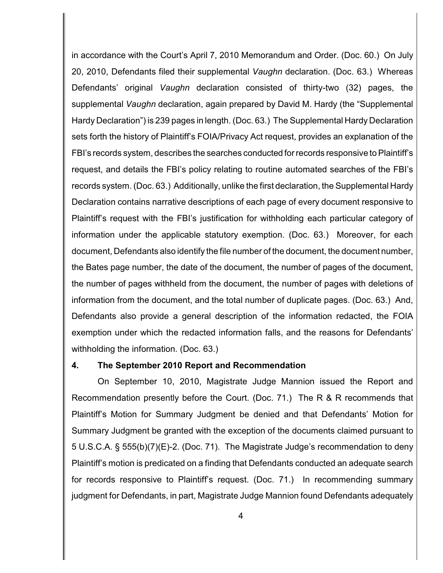in accordance with the Court's April 7, 2010 Memorandum and Order. (Doc. 60.) On July 20, 2010, Defendants filed their supplemental *Vaughn* declaration. (Doc. 63.) Whereas Defendants' original *Vaughn* declaration consisted of thirty-two (32) pages, the supplemental *Vaughn* declaration, again prepared by David M. Hardy (the "Supplemental Hardy Declaration") is 239 pages in length. (Doc. 63.) The Supplemental Hardy Declaration sets forth the history of Plaintiff's FOIA/Privacy Act request, provides an explanation of the FBI's records system, describes the searches conducted for records responsive to Plaintiff's request, and details the FBI's policy relating to routine automated searches of the FBI's records system. (Doc. 63.) Additionally, unlike the first declaration, the Supplemental Hardy Declaration contains narrative descriptions of each page of every document responsive to Plaintiff's request with the FBI's justification for withholding each particular category of information under the applicable statutory exemption. (Doc. 63.) Moreover, for each document, Defendants also identify the file number of the document, the document number, the Bates page number, the date of the document, the number of pages of the document, the number of pages withheld from the document, the number of pages with deletions of information from the document, and the total number of duplicate pages. (Doc. 63.) And, Defendants also provide a general description of the information redacted, the FOIA exemption under which the redacted information falls, and the reasons for Defendants' withholding the information. (Doc. 63.)

#### **4. The September 2010 Report and Recommendation**

On September 10, 2010, Magistrate Judge Mannion issued the Report and Recommendation presently before the Court. (Doc. 71.) The R & R recommends that Plaintiff's Motion for Summary Judgment be denied and that Defendants' Motion for Summary Judgment be granted with the exception of the documents claimed pursuant to 5 U.S.C.A. § 555(b)(7)(E)-2. (Doc. 71). The Magistrate Judge's recommendation to deny Plaintiff's motion is predicated on a finding that Defendants conducted an adequate search for records responsive to Plaintiff's request. (Doc. 71.) In recommending summary judgment for Defendants, in part, Magistrate Judge Mannion found Defendants adequately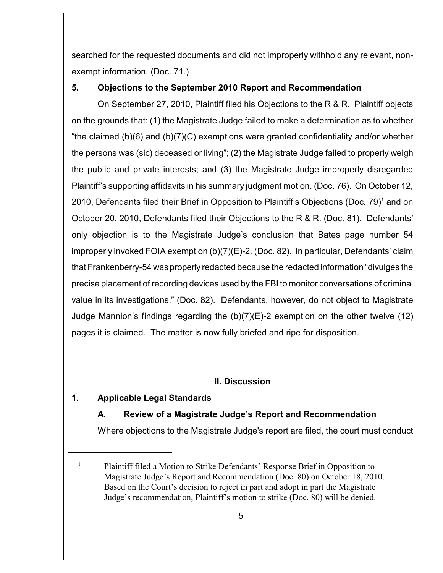searched for the requested documents and did not improperly withhold any relevant, nonexempt information. (Doc. 71.)

## **5. Objections to the September 2010 Report and Recommendation**

On September 27, 2010, Plaintiff filed his Objections to the R & R. Plaintiff objects on the grounds that: (1) the Magistrate Judge failed to make a determination as to whether "the claimed (b)(6) and (b)(7)(C) exemptions were granted confidentiality and/or whether the persons was (sic) deceased or living"; (2) the Magistrate Judge failed to properly weigh the public and private interests; and (3) the Magistrate Judge improperly disregarded Plaintiff's supporting affidavits in his summary judgment motion. (Doc. 76). On October 12, 2010, Defendants filed their Brief in Opposition to Plaintiff's Objections (Doc. 79)<sup>1</sup> and on October 20, 2010, Defendants filed their Objections to the R & R. (Doc. 81). Defendants' only objection is to the Magistrate Judge's conclusion that Bates page number 54 improperly invoked FOIA exemption (b)(7)(E)-2. (Doc. 82). In particular, Defendants' claim that Frankenberry-54 was properly redacted because the redacted information "divulges the precise placement of recording devices used by the FBI to monitor conversations of criminal value in its investigations." (Doc. 82). Defendants, however, do not object to Magistrate Judge Mannion's findings regarding the (b)(7)(E)-2 exemption on the other twelve (12) pages it is claimed. The matter is now fully briefed and ripe for disposition.

## **II. Discussion**

## **1. Applicable Legal Standards**

## **A. Review of a Magistrate Judge's Report and Recommendation**

Where objections to the Magistrate Judge's report are filed, the court must conduct

 $P$ laintiff filed a Motion to Strike Defendants' Response Brief in Opposition to Magistrate Judge's Report and Recommendation (Doc. 80) on October 18, 2010. Based on the Court's decision to reject in part and adopt in part the Magistrate Judge's recommendation, Plaintiff's motion to strike (Doc. 80) will be denied.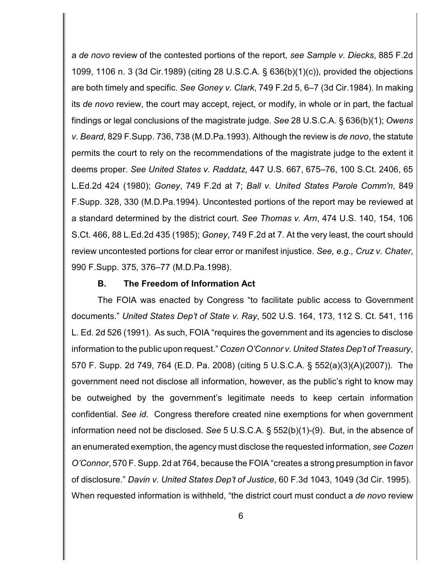a *de novo* review of the contested portions of the report, *see Sample v. Diecks*, 885 F.2d 1099, 1106 n. 3 (3d Cir.1989) (citing 28 U.S.C.A. § 636(b)(1)(c)), provided the objections are both timely and specific. *See Goney v. Clark*, 749 F.2d 5, 6–7 (3d Cir.1984). In making its *de novo* review, the court may accept, reject, or modify, in whole or in part, the factual findings or legal conclusions of the magistrate judge. *See* 28 U.S.C.A. § 636(b)(1); *Owens v. Beard*, 829 F.Supp. 736, 738 (M.D.Pa.1993). Although the review is *de novo*, the statute permits the court to rely on the recommendations of the magistrate judge to the extent it deems proper. *See United States v. Raddatz*, 447 U.S. 667, 675–76, 100 S.Ct. 2406, 65 L.Ed.2d 424 (1980); *Goney*, 749 F.2d at 7; *Ball v. United States Parole Comm'n*, 849 F.Supp. 328, 330 (M.D.Pa.1994). Uncontested portions of the report may be reviewed at a standard determined by the district court*. See Thomas v. Arn*, 474 U.S. 140, 154, 106 S.Ct. 466, 88 L.Ed.2d 435 (1985); *Goney*, 749 F.2d at 7. At the very least, the court should review uncontested portions for clear error or manifest injustice. *See, e.g., Cruz v. Chater*, 990 F.Supp. 375, 376–77 (M.D.Pa.1998).

#### **B. The Freedom of Information Act**

The FOIA was enacted by Congress "to facilitate public access to Government documents." *United States Dep't of State v. Ray*, 502 U.S. 164, 173, 112 S. Ct. 541, 116 L. Ed. 2d 526 (1991). As such, FOIA "requires the government and its agencies to disclose information to the public upon request." *Cozen O'Connor v. United States Dep't of Treasury*, 570 F. Supp. 2d 749, 764 (E.D. Pa. 2008) (citing 5 U.S.C.A. § 552(a)(3)(A)(2007)). The government need not disclose all information, however, as the public's right to know may be outweighed by the government's legitimate needs to keep certain information confidential. *See id*. Congress therefore created nine exemptions for when government information need not be disclosed. *See* 5 U.S.C.A. § 552(b)(1)-(9). But, in the absence of an enumerated exemption, the agency must disclose the requested information, *see Cozen O'Connor*, 570 F. Supp. 2d at 764, because the FOIA "creates a strong presumption in favor of disclosure." *Davin v. United States Dep't of Justice*, 60 F.3d 1043, 1049 (3d Cir. 1995). When requested information is withheld, "the district court must conduct a *de novo* review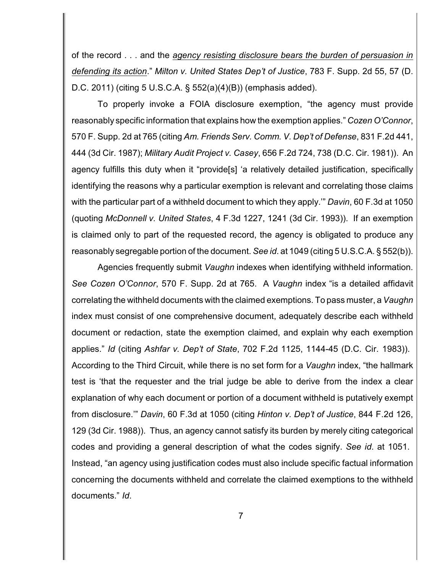of the record . . . and the *agency resisting disclosure bears the burden of persuasion in defending its action*." *Milton v. United States Dep't of Justice*, 783 F. Supp. 2d 55, 57 (D. D.C. 2011) (citing 5 U.S.C.A. § 552(a)(4)(B)) (emphasis added).

To properly invoke a FOIA disclosure exemption, "the agency must provide reasonably specific information that explains how the exemption applies." *Cozen O'Connor*, 570 F. Supp. 2d at 765 (citing *Am. Friends Serv. Comm. V. Dep't of Defense*, 831 F.2d 441, 444 (3d Cir. 1987); *Military Audit Project v. Casey*, 656 F.2d 724, 738 (D.C. Cir. 1981)). An agency fulfills this duty when it "provide[s] 'a relatively detailed justification, specifically identifying the reasons why a particular exemption is relevant and correlating those claims with the particular part of a withheld document to which they apply.'" *Davin*, 60 F.3d at 1050 (quoting *McDonnell v. United States*, 4 F.3d 1227, 1241 (3d Cir. 1993)). If an exemption is claimed only to part of the requested record, the agency is obligated to produce any reasonably segregable portion of the document. *See id*. at 1049 (citing 5 U.S.C.A. § 552(b)).

Agencies frequently submit *Vaughn* indexes when identifying withheld information. *See Cozen O'Connor*, 570 F. Supp. 2d at 765. A *Vaughn* index "is a detailed affidavit correlating the withheld documents with the claimed exemptions. To pass muster, a *Vaughn* index must consist of one comprehensive document, adequately describe each withheld document or redaction, state the exemption claimed, and explain why each exemption applies." *Id* (citing *Ashfar v. Dep't of State*, 702 F.2d 1125, 1144-45 (D.C. Cir. 1983)). According to the Third Circuit, while there is no set form for a *Vaughn* index, "the hallmark test is 'that the requester and the trial judge be able to derive from the index a clear explanation of why each document or portion of a document withheld is putatively exempt from disclosure.'" *Davin*, 60 F.3d at 1050 (citing *Hinton v. Dep't of Justice*, 844 F.2d 126, 129 (3d Cir. 1988)). Thus, an agency cannot satisfy its burden by merely citing categorical codes and providing a general description of what the codes signify. *See id*. at 1051. Instead, "an agency using justification codes must also include specific factual information concerning the documents withheld and correlate the claimed exemptions to the withheld documents." *Id*.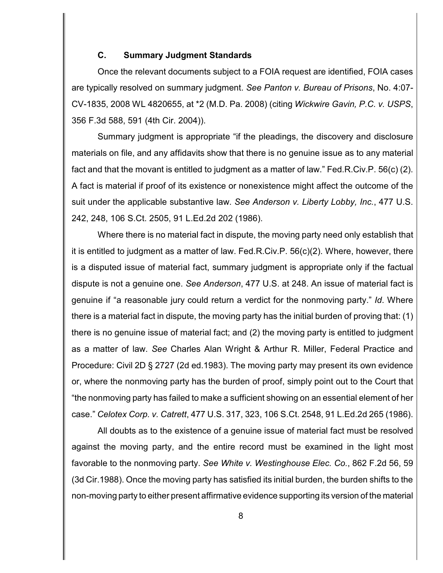### **C. Summary Judgment Standards**

Once the relevant documents subject to a FOIA request are identified, FOIA cases are typically resolved on summary judgment. *See Panton v. Bureau of Prisons*, No. 4:07- CV-1835, 2008 WL 4820655, at \*2 (M.D. Pa. 2008) (citing *Wickwire Gavin, P.C. v. USPS*, 356 F.3d 588, 591 (4th Cir. 2004)).

Summary judgment is appropriate "if the pleadings, the discovery and disclosure materials on file, and any affidavits show that there is no genuine issue as to any material fact and that the movant is entitled to judgment as a matter of law." Fed.R.Civ.P. 56(c) (2). A fact is material if proof of its existence or nonexistence might affect the outcome of the suit under the applicable substantive law. *See Anderson v. Liberty Lobby, Inc.*, 477 U.S. 242, 248, 106 S.Ct. 2505, 91 L.Ed.2d 202 (1986).

Where there is no material fact in dispute, the moving party need only establish that it is entitled to judgment as a matter of law. Fed.R.Civ.P. 56(c)(2). Where, however, there is a disputed issue of material fact, summary judgment is appropriate only if the factual dispute is not a genuine one. *See Anderson*, 477 U.S. at 248. An issue of material fact is genuine if "a reasonable jury could return a verdict for the nonmoving party." *Id*. Where there is a material fact in dispute, the moving party has the initial burden of proving that: (1) there is no genuine issue of material fact; and (2) the moving party is entitled to judgment as a matter of law. *See* Charles Alan Wright & Arthur R. Miller, Federal Practice and Procedure: Civil 2D § 2727 (2d ed.1983). The moving party may present its own evidence or, where the nonmoving party has the burden of proof, simply point out to the Court that "the nonmoving party has failed to make a sufficient showing on an essential element of her case." *Celotex Corp. v. Catrett*, 477 U.S. 317, 323, 106 S.Ct. 2548, 91 L.Ed.2d 265 (1986).

All doubts as to the existence of a genuine issue of material fact must be resolved against the moving party, and the entire record must be examined in the light most favorable to the nonmoving party. *See White v. Westinghouse Elec. Co.*, 862 F.2d 56, 59 (3d Cir.1988). Once the moving party has satisfied its initial burden, the burden shifts to the non-moving party to either present affirmative evidence supporting its version of the material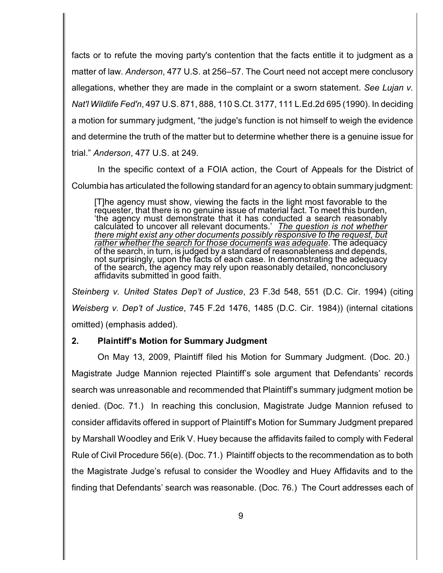facts or to refute the moving party's contention that the facts entitle it to judgment as a matter of law. *Anderson*, 477 U.S. at 256–57. The Court need not accept mere conclusory allegations, whether they are made in the complaint or a sworn statement. *See Lujan v. Nat'l Wildlife Fed'n*, 497 U.S. 871, 888, 110 S.Ct. 3177, 111 L.Ed.2d 695 (1990). In deciding a motion for summary judgment, "the judge's function is not himself to weigh the evidence and determine the truth of the matter but to determine whether there is a genuine issue for trial." *Anderson*, 477 U.S. at 249.

In the specific context of a FOIA action, the Court of Appeals for the District of Columbia has articulated the following standard for an agency to obtain summary judgment:

[T]he agency must show, viewing the facts in the light most favorable to the requester, that there is no genuine issue of material fact. To meet this burden, 'the agency must demonstrate that it has conducted a search reasonably calculated to uncover all relevant documents.' *The question is not whether there might exist any other documents possibly responsive to the request, but rather whether the search for those documents was adequate*. The adequacy of the search, in turn, is judged by a standard of reasonableness and depends, not surprisingly, upon the facts of each case. In demonstrating the adequacy of the search, the agency may rely upon reasonably detailed, nonconclusory affidavits submitted in good faith.

*Steinberg v. United States Dep't of Justice*, 23 F.3d 548, 551 (D.C. Cir. 1994) (citing *Weisberg v. Dep't of Justice*, 745 F.2d 1476, 1485 (D.C. Cir. 1984)) (internal citations omitted) (emphasis added).

## **2. Plaintiff's Motion for Summary Judgment**

On May 13, 2009, Plaintiff filed his Motion for Summary Judgment. (Doc. 20.) Magistrate Judge Mannion rejected Plaintiff's sole argument that Defendants' records search was unreasonable and recommended that Plaintiff's summary judgment motion be denied. (Doc. 71.) In reaching this conclusion, Magistrate Judge Mannion refused to consider affidavits offered in support of Plaintiff's Motion for Summary Judgment prepared by Marshall Woodley and Erik V. Huey because the affidavits failed to comply with Federal Rule of Civil Procedure 56(e). (Doc. 71.) Plaintiff objects to the recommendation as to both the Magistrate Judge's refusal to consider the Woodley and Huey Affidavits and to the finding that Defendants' search was reasonable. (Doc. 76.) The Court addresses each of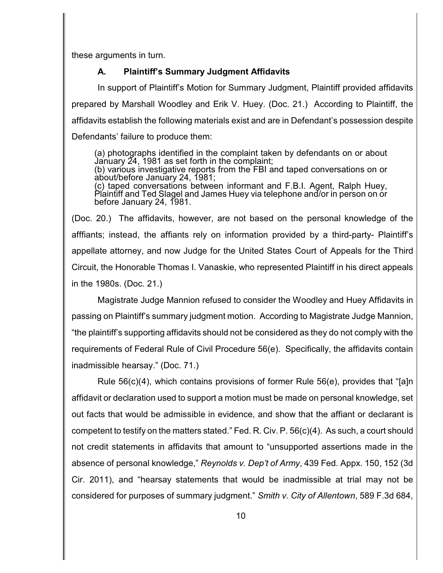these arguments in turn.

## **A. Plaintiff's Summary Judgment Affidavits**

In support of Plaintiff's Motion for Summary Judgment, Plaintiff provided affidavits prepared by Marshall Woodley and Erik V. Huey. (Doc. 21.) According to Plaintiff, the affidavits establish the following materials exist and are in Defendant's possession despite Defendants' failure to produce them:

(a) photographs identified in the complaint taken by defendants on or about January 24, 1981 as set forth in the complaint; (b) various investigative reports from the FBI and taped conversations on or about/before January 24, 1981; (c) taped conversations between informant and F.B.I. Agent, Ralph Huey, Plaintiff and Ted Slagel and James Huey via telephone and/or in person on or before January 24, 1981.

(Doc. 20.) The affidavits, however, are not based on the personal knowledge of the afffiants; instead, the affiants rely on information provided by a third-party- Plaintiff's appellate attorney, and now Judge for the United States Court of Appeals for the Third Circuit, the Honorable Thomas I. Vanaskie, who represented Plaintiff in his direct appeals in the 1980s. (Doc. 21.)

Magistrate Judge Mannion refused to consider the Woodley and Huey Affidavits in passing on Plaintiff's summary judgment motion. According to Magistrate Judge Mannion, "the plaintiff's supporting affidavits should not be considered as they do not comply with the requirements of Federal Rule of Civil Procedure 56(e). Specifically, the affidavits contain inadmissible hearsay." (Doc. 71.)

Rule 56(c)(4), which contains provisions of former Rule 56(e), provides that "[a]n affidavit or declaration used to support a motion must be made on personal knowledge, set out facts that would be admissible in evidence, and show that the affiant or declarant is competent to testify on the matters stated." Fed. R. Civ. P. 56(c)(4). As such, a court should not credit statements in affidavits that amount to "unsupported assertions made in the absence of personal knowledge," *Reynolds v. Dep't of Army*, 439 Fed. Appx. 150, 152 (3d Cir. 2011), and "hearsay statements that would be inadmissible at trial may not be considered for purposes of summary judgment." *Smith v. City of Allentown*, 589 F.3d 684,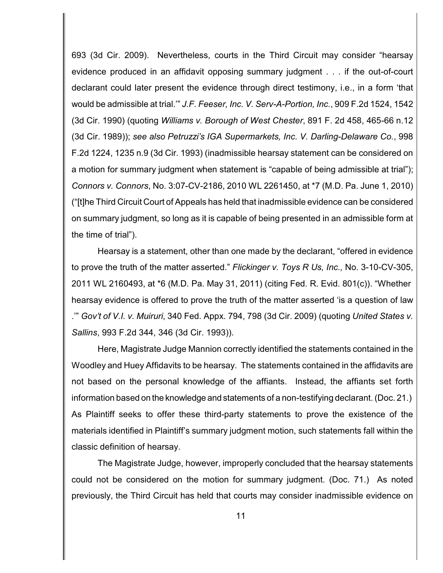693 (3d Cir. 2009). Nevertheless, courts in the Third Circuit may consider "hearsay evidence produced in an affidavit opposing summary judgment . . . if the out-of-court declarant could later present the evidence through direct testimony, i.e., in a form 'that would be admissible at trial.'" *J.F. Feeser, Inc. V. Serv-A-Portion, Inc.*, 909 F.2d 1524, 1542 (3d Cir. 1990) (quoting *Williams v. Borough of West Chester*, 891 F. 2d 458, 465-66 n.12 (3d Cir. 1989)); *see also Petruzzi's IGA Supermarkets, Inc. V. Darling-Delaware Co.*, 998 F.2d 1224, 1235 n.9 (3d Cir. 1993) (inadmissible hearsay statement can be considered on a motion for summary judgment when statement is "capable of being admissible at trial"); *Connors v. Connors*, No. 3:07-CV-2186, 2010 WL 2261450, at \*7 (M.D. Pa. June 1, 2010) ("[t]he Third Circuit Court of Appeals has held that inadmissible evidence can be considered on summary judgment, so long as it is capable of being presented in an admissible form at the time of trial").

Hearsay is a statement, other than one made by the declarant, "offered in evidence to prove the truth of the matter asserted." *Flickinger v. Toys R Us, Inc.,* No. 3-10-CV-305, 2011 WL 2160493, at \*6 (M.D. Pa. May 31, 2011) (citing Fed. R. Evid. 801(c)). "Whether hearsay evidence is offered to prove the truth of the matter asserted 'is a question of law .'" *Gov't of V.I. v. Muiruri*, 340 Fed. Appx. 794, 798 (3d Cir. 2009) (quoting *United States v. Sallins*, 993 F.2d 344, 346 (3d Cir. 1993)).

Here, Magistrate Judge Mannion correctly identified the statements contained in the Woodley and Huey Affidavits to be hearsay. The statements contained in the affidavits are not based on the personal knowledge of the affiants. Instead, the affiants set forth information based on the knowledge and statements of a non-testifying declarant. (Doc. 21.) As Plaintiff seeks to offer these third-party statements to prove the existence of the materials identified in Plaintiff's summary judgment motion, such statements fall within the classic definition of hearsay.

The Magistrate Judge, however, improperly concluded that the hearsay statements could not be considered on the motion for summary judgment. (Doc. 71.) As noted previously, the Third Circuit has held that courts may consider inadmissible evidence on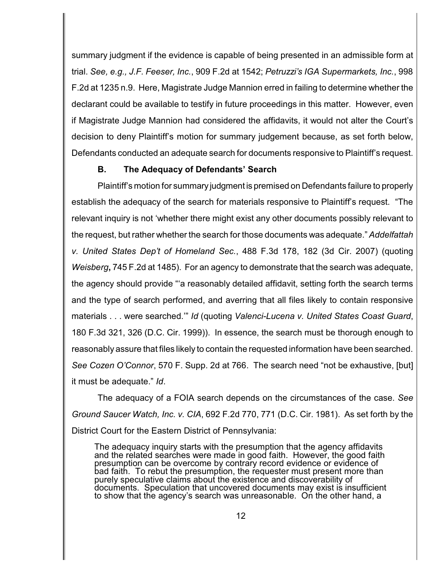summary judgment if the evidence is capable of being presented in an admissible form at trial. *See, e.g., J.F. Feeser, Inc.*, 909 F.2d at 1542; *Petruzzi's IGA Supermarkets, Inc.*, 998 F.2d at 1235 n.9. Here, Magistrate Judge Mannion erred in failing to determine whether the declarant could be available to testify in future proceedings in this matter. However, even if Magistrate Judge Mannion had considered the affidavits, it would not alter the Court's decision to deny Plaintiff's motion for summary judgement because, as set forth below, Defendants conducted an adequate search for documents responsive to Plaintiff's request.

### **B. The Adequacy of Defendants' Search**

Plaintiff's motion for summary judgment is premised on Defendants failure to properly establish the adequacy of the search for materials responsive to Plaintiff's request. "The relevant inquiry is not 'whether there might exist any other documents possibly relevant to the request, but rather whether the search for those documents was adequate." *Addelfattah v. United States Dep't of Homeland Sec.*, 488 F.3d 178, 182 (3d Cir. 2007) (quoting *Weisberg***,** 745 F.2d at 1485). For an agency to demonstrate that the search was adequate, the agency should provide "'a reasonably detailed affidavit, setting forth the search terms and the type of search performed, and averring that all files likely to contain responsive materials . . . were searched.'" *Id* (quoting *Valenci-Lucena v. United States Coast Guard*, 180 F.3d 321, 326 (D.C. Cir. 1999)). In essence, the search must be thorough enough to reasonably assure that files likely to contain the requested information have been searched. *See Cozen O'Connor*, 570 F. Supp. 2d at 766. The search need "not be exhaustive, [but] it must be adequate." *Id*.

The adequacy of a FOIA search depends on the circumstances of the case. *See Ground Saucer Watch, Inc. v. CIA*, 692 F.2d 770, 771 (D.C. Cir. 1981).As set forth by the District Court for the Eastern District of Pennsylvania:

The adequacy inquiry starts with the presumption that the agency affidavits and the related searches were made in good faith. However, the good faith presumption can be overcome by contrary record evidence or evidence of bad faith. To rebut the presumption, the requester must present more than purely speculative claims about the existence and discoverability of documents. Speculation that uncovered documents may exist is insufficient to show that the agency's search was unreasonable. On the other hand, a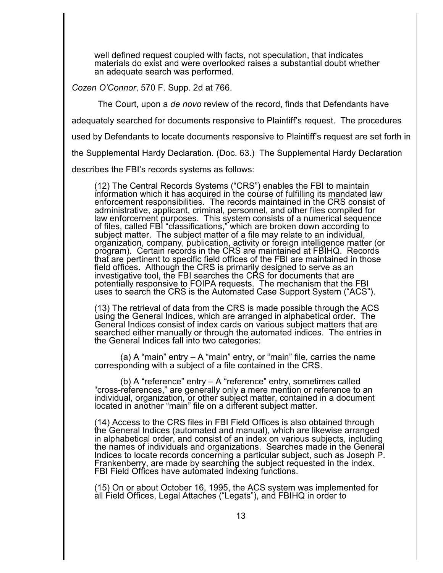well defined request coupled with facts, not speculation, that indicates materials do exist and were overlooked raises a substantial doubt whether an adequate search was performed.

*Cozen O'Connor*, 570 F. Supp. 2d at 766.

The Court, upon a *de novo* review of the record, finds that Defendants have

adequately searched for documents responsive to Plaintiff's request. The procedures

used by Defendants to locate documents responsive to Plaintiff's request are set forth in

the Supplemental Hardy Declaration. (Doc. 63.) The Supplemental Hardy Declaration

describes the FBI's records systems as follows:

(12) The Central Records Systems ("CRS") enables the FBI to maintain information which it has acquired in the course of fulfilling its mandated law enforcement responsibilities. The records maintained in the CRS consist of administrative, applicant, criminal, personnel, and other files compiled for law enforcement purposes. This system consists of a numerical sequence of files, called FBI "classifications," which are broken down according to subject matter. The subject matter of a file may relate to an individual, organization, company, publication, activity or foreign intelligence matter (or program). Certain records in the CRS are maintained at FBIHQ. Records that are pertinent to specific field offices of the FBI are maintained in those field offices. Although the CRS is primarily designed to serve as an investigative tool, the FBI searches the CRS for documents that are potentially responsive to FOIPA requests. The mechanism that the FBI uses to search the CRS is the Automated Case Support System ("ACS").

(13) The retrieval of data from the CRS is made possible through the ACS using the General Indices, which are arranged in alphabetical order. The General Indices consist of index cards on various subject matters that are searched either manually or through the automated indices. The entries in the General Indices fall into two categories:

(a) A "main" entry  $-$  A "main" entry, or "main" file, carries the name corresponding with a subject of a file contained in the CRS.

(b) A "reference" entry – A "reference" entry, sometimes called "cross-references," are generally only a mere mention or reference to an individual, organization, or other subject matter, contained in a document located in another "main" file on a different subject matter.

(14) Access to the CRS files in FBI Field Offices is also obtained through the General Indices (automated and manual), which are likewise arranged in alphabetical order, and consist of an index on various subjects, including the names of individuals and organizations. Searches made in the General Indices to locate records concerning a particular subject, such as Joseph P. Frankenberry, are made by searching the subject requested in the index. FBI Field Offices have automated indexing functions.

(15) On or about October 16, 1995, the ACS system was implemented for all Field Offices, Legal Attaches ("Legats"), and FBIHQ in order to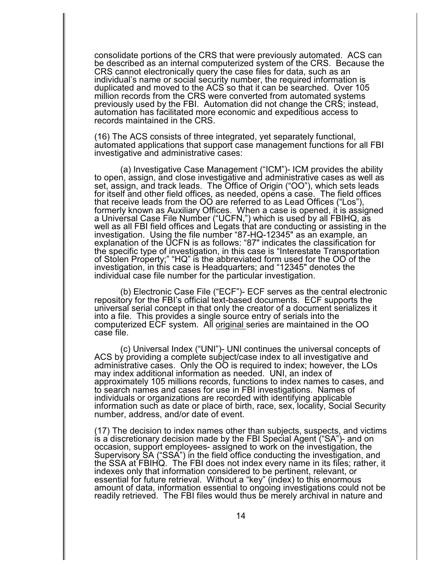consolidate portions of the CRS that were previously automated. ACS can be described as an internal computerized system of the CRS. Because the CRS cannot electronically query the case files for data, such as an individual's name or social security number, the required information is duplicated and moved to the ACS so that it can be searched. Over 105 million records from the CRS were converted from automated systems previously used by the FBI. Automation did not change the CRS; instead, automation has facilitated more economic and expeditious access to records maintained in the CRS.

(16) The ACS consists of three integrated, yet separately functional, automated applications that support case management functions for all FBI investigative and administrative cases:

(a) Investigative Case Management ("ICM")- ICM provides the ability to open, assign, and close investigative and administrative cases as well as set, assign, and track leads. The Office of Origin ("OO"), which sets leads for itself and other field offices, as needed, opens a case. The field offices that receive leads from the OO are referred to as Lead Offices ("Los"), formerly known as Auxiliary Offices. When a case is opened, it is assigned a Universal Case File Number ("UCFN,") which is used by all FBIHQ, as well as all FBI field offices and Legats that are conducting or assisting in the investigation. Using the file number "87-HQ-12345" as an example, an explanation of the UCFN is as follows: "87" indicates the classification for the specific type of investigation, in this case is "Interestate Transportation of Stolen Property;" "HQ" is the abbreviated form used for the OO of the investigation, in this case is Headquarters; and "12345" denotes the individual case file number for the particular investigation.

(b) Electronic Case File ("ECF")- ECF serves as the central electronic repository for the FBI's official text-based documents. ECF supports the universal serial concept in that only the creator of a document serializes it into a file. This provides a single source entry of serials into the computerized ECF system. All original series are maintained in the OO case file.

(c) Universal Index ("UNI")- UNI continues the universal concepts of ACS by providing a complete subject/case index to all investigative and administrative cases. Only the OO is required to index; however, the LOs may index additional information as needed. UNI, an index of approximately 105 millions records, functions to index names to cases, and to search names and cases for use in FBI investigations. Names of individuals or organizations are recorded with identifying applicable information such as date or place of birth, race, sex, locality, Social Security number, address, and/or date of event.

(17) The decision to index names other than subjects, suspects, and victims is a discretionary decision made by the FBI Special Agent ("SA")- and on occasion, support employees- assigned to work on the investigation, the Supervisory SA ("SSA") in the field office conducting the investigation, and the SSA at FBIHQ. The FBI does not index every name in its files; rather, it indexes only that information considered to be pertinent, relevant, or essential for future retrieval. Without a "key" (index) to this enormous amount of data, information essential to ongoing investigations could not be readily retrieved. The FBI files would thus be merely archival in nature and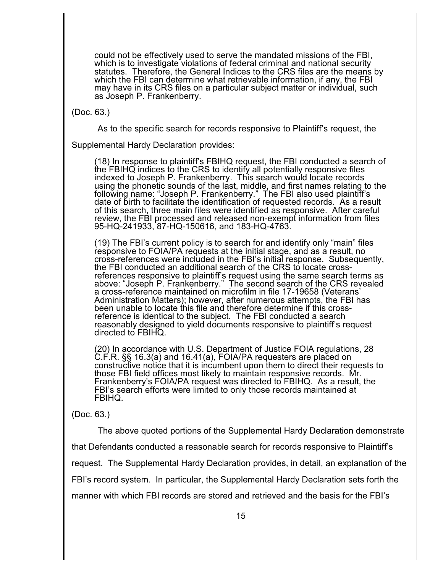could not be effectively used to serve the mandated missions of the FBI, which is to investigate violations of federal criminal and national security statutes. Therefore, the General Indices to the CRS files are the means by which the FBI can determine what retrievable information, if any, the FBI may have in its CRS files on a particular subject matter or individual, such as Joseph P. Frankenberry.

(Doc. 63.)

As to the specific search for records responsive to Plaintiff's request, the

Supplemental Hardy Declaration provides:

(18) In response to plaintiff's FBIHQ request, the FBI conducted a search of the FBIHQ indices to the CRS to identify all potentially responsive files indexed to Joseph P. Frankenberry. This search would locate records using the phonetic sounds of the last, middle, and first names relating to the following name: "Joseph P. Frankenberry." The FBI also used plaintiff's date of birth to facilitate the identification of requested records. As a result of this search, three main files were identified as responsive. After careful review, the FBI processed and released non-exempt information from files 95-HQ-241933, 87-HQ-150616, and 183-HQ-4763.

(19) The FBI's current policy is to search for and identify only "main" files responsive to FOIA/PA requests at the initial stage, and as a result, no cross-references were included in the FBI's initial response. Subsequently, the FBI conducted an additional search of the CRS to locate crossreferences responsive to plaintiff's request using the same search terms as above: "Joseph P. Frankenberry." The second search of the CRS revealed a cross-reference maintained on microfilm in file 17-19658 (Veterans' Administration Matters); however, after numerous attempts, the FBI has been unable to locate this file and therefore determine if this crossreference is identical to the subject. The FBI conducted a search reasonably designed to yield documents responsive to plaintiff's request directed to FBIHQ.

(20) In accordance with U.S. Department of Justice FOIA regulations, 28 C.F.R. §§ 16.3(a) and 16.41(a), FOIA/PA requesters are placed on constructive notice that it is incumbent upon them to direct their requests to those FBI field offices most likely to maintain responsive records. Mr. Frankenberry's FOIA/PA request was directed to FBIHQ. As a result, the FBI's search efforts were limited to only those records maintained at FBIHQ.

### (Doc. 63.)

The above quoted portions of the Supplemental Hardy Declaration demonstrate

that Defendants conducted a reasonable search for records responsive to Plaintiff's

request. The Supplemental Hardy Declaration provides, in detail, an explanation of the

FBI's record system. In particular, the Supplemental Hardy Declaration sets forth the

manner with which FBI records are stored and retrieved and the basis for the FBI's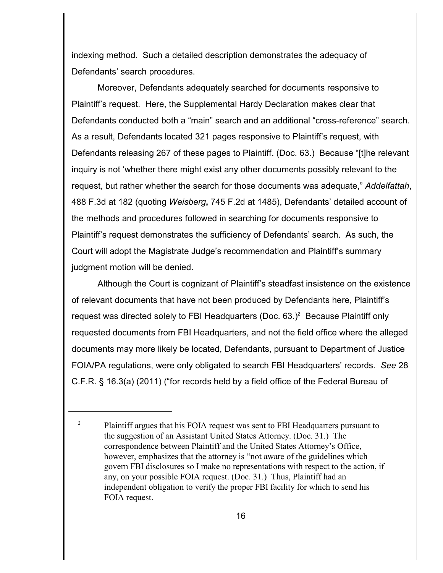indexing method. Such a detailed description demonstrates the adequacy of Defendants' search procedures.

Moreover, Defendants adequately searched for documents responsive to Plaintiff's request. Here, the Supplemental Hardy Declaration makes clear that Defendants conducted both a "main" search and an additional "cross-reference" search. As a result, Defendants located 321 pages responsive to Plaintiff's request, with Defendants releasing 267 of these pages to Plaintiff. (Doc. 63.) Because "[t]he relevant inquiry is not 'whether there might exist any other documents possibly relevant to the request, but rather whether the search for those documents was adequate," *Addelfattah*, 488 F.3d at 182 (quoting *Weisberg***,** 745 F.2d at 1485), Defendants' detailed account of the methods and procedures followed in searching for documents responsive to Plaintiff's request demonstrates the sufficiency of Defendants' search. As such, the Court will adopt the Magistrate Judge's recommendation and Plaintiff's summary judgment motion will be denied.

Although the Court is cognizant of Plaintiff's steadfast insistence on the existence of relevant documents that have not been produced by Defendants here, Plaintiff's request was directed solely to FBI Headquarters (Doc.  $63.$ )<sup>2</sup> Because Plaintiff only requested documents from FBI Headquarters, and not the field office where the alleged documents may more likely be located, Defendants, pursuant to Department of Justice FOIA/PA regulations, were only obligated to search FBI Headquarters' records. *See* 28 C.F.R. § 16.3(a) (2011) ("for records held by a field office of the Federal Bureau of

<sup>&</sup>lt;sup>2</sup> Plaintiff argues that his FOIA request was sent to FBI Headquarters pursuant to the suggestion of an Assistant United States Attorney. (Doc. 31.) The correspondence between Plaintiff and the United States Attorney's Office, however, emphasizes that the attorney is "not aware of the guidelines which govern FBI disclosures so I make no representations with respect to the action, if any, on your possible FOIA request. (Doc. 31.) Thus, Plaintiff had an independent obligation to verify the proper FBI facility for which to send his FOIA request.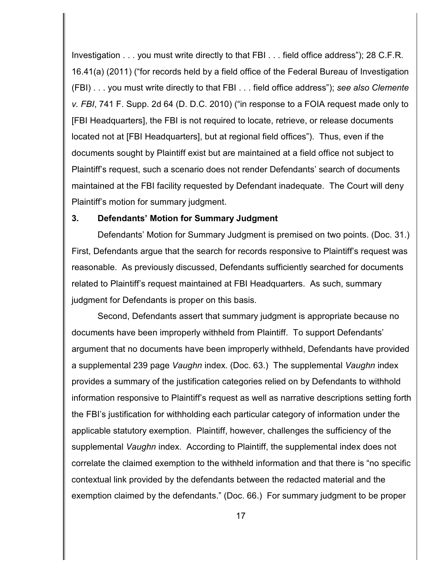Investigation . . . you must write directly to that FBI . . . field office address"); 28 C.F.R. 16.41(a) (2011) ("for records held by a field office of the Federal Bureau of Investigation (FBI) . . . you must write directly to that FBI . . . field office address"); *see also Clemente v. FBI*, 741 F. Supp. 2d 64 (D. D.C. 2010) ("in response to a FOIA request made only to [FBI Headquarters], the FBI is not required to locate, retrieve, or release documents located not at [FBI Headquarters], but at regional field offices"). Thus, even if the documents sought by Plaintiff exist but are maintained at a field office not subject to Plaintiff's request, such a scenario does not render Defendants' search of documents maintained at the FBI facility requested by Defendant inadequate. The Court will deny Plaintiff's motion for summary judgment.

#### **3. Defendants' Motion for Summary Judgment**

Defendants' Motion for Summary Judgment is premised on two points. (Doc. 31.) First, Defendants argue that the search for records responsive to Plaintiff's request was reasonable. As previously discussed, Defendants sufficiently searched for documents related to Plaintiff's request maintained at FBI Headquarters. As such, summary judgment for Defendants is proper on this basis.

Second, Defendants assert that summary judgment is appropriate because no documents have been improperly withheld from Plaintiff. To support Defendants' argument that no documents have been improperly withheld, Defendants have provided a supplemental 239 page *Vaughn* index. (Doc. 63.) The supplemental *Vaughn* index provides a summary of the justification categories relied on by Defendants to withhold information responsive to Plaintiff's request as well as narrative descriptions setting forth the FBI's justification for withholding each particular category of information under the applicable statutory exemption. Plaintiff, however, challenges the sufficiency of the supplemental *Vaughn* index. According to Plaintiff, the supplemental index does not correlate the claimed exemption to the withheld information and that there is "no specific contextual link provided by the defendants between the redacted material and the exemption claimed by the defendants." (Doc. 66.) For summary judgment to be proper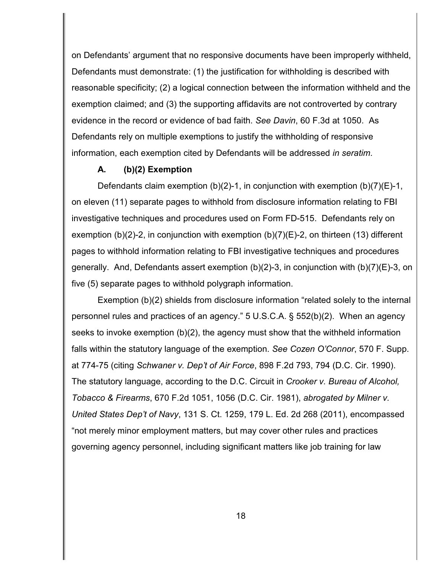on Defendants' argument that no responsive documents have been improperly withheld, Defendants must demonstrate: (1) the justification for withholding is described with reasonable specificity; (2) a logical connection between the information withheld and the exemption claimed; and (3) the supporting affidavits are not controverted by contrary evidence in the record or evidence of bad faith. *See Davin*, 60 F.3d at 1050. As Defendants rely on multiple exemptions to justify the withholding of responsive information, each exemption cited by Defendants will be addressed *in seratim*.

### **A. (b)(2) Exemption**

Defendants claim exemption (b)(2)-1, in conjunction with exemption (b)(7)(E)-1, on eleven (11) separate pages to withhold from disclosure information relating to FBI investigative techniques and procedures used on Form FD-515. Defendants rely on exemption (b)(2)-2, in conjunction with exemption (b)(7)(E)-2, on thirteen (13) different pages to withhold information relating to FBI investigative techniques and procedures generally. And, Defendants assert exemption (b)(2)-3, in conjunction with (b)(7)(E)-3, on five (5) separate pages to withhold polygraph information.

Exemption (b)(2) shields from disclosure information "related solely to the internal personnel rules and practices of an agency." 5 U.S.C.A. § 552(b)(2). When an agency seeks to invoke exemption (b)(2), the agency must show that the withheld information falls within the statutory language of the exemption. *See Cozen O'Connor*, 570 F. Supp. at 774-75 (citing *Schwaner v. Dep't of Air Force*, 898 F.2d 793, 794 (D.C. Cir. 1990). The statutory language, according to the D.C. Circuit in *Crooker v. Bureau of Alcohol, Tobacco & Firearms*, 670 F.2d 1051, 1056 (D.C. Cir. 1981), *abrogated by Milner v. United States Dep't of Navy*, 131 S. Ct. 1259, 179 L. Ed. 2d 268 (2011), encompassed "not merely minor employment matters, but may cover other rules and practices governing agency personnel, including significant matters like job training for law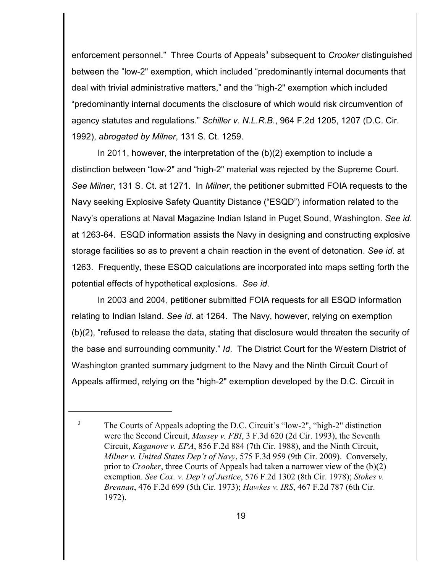enforcement personnel." Three Courts of Appeals<sup>3</sup> subsequent to *Crooker* distinguished between the "low-2" exemption, which included "predominantly internal documents that deal with trivial administrative matters," and the "high-2" exemption which included "predominantly internal documents the disclosure of which would risk circumvention of agency statutes and regulations." *Schiller v. N.L.R.B.*, 964 F.2d 1205, 1207 (D.C. Cir. 1992), *abrogated by Milner*, 131 S. Ct. 1259.

In 2011, however, the interpretation of the (b)(2) exemption to include a distinction between "low-2" and "high-2" material was rejected by the Supreme Court. *See Milner*, 131 S. Ct. at 1271. In *Milner*, the petitioner submitted FOIA requests to the Navy seeking Explosive Safety Quantity Distance ("ESQD") information related to the Navy's operations at Naval Magazine Indian Island in Puget Sound, Washington. *See id*. at 1263-64. ESQD information assists the Navy in designing and constructing explosive storage facilities so as to prevent a chain reaction in the event of detonation. *See id*. at 1263. Frequently, these ESQD calculations are incorporated into maps setting forth the potential effects of hypothetical explosions. *See id*.

In 2003 and 2004, petitioner submitted FOIA requests for all ESQD information relating to Indian Island. *See id*. at 1264. The Navy, however, relying on exemption (b)(2), "refused to release the data, stating that disclosure would threaten the security of the base and surrounding community." *Id*. The District Court for the Western District of Washington granted summary judgment to the Navy and the Ninth Circuit Court of Appeals affirmed, relying on the "high-2" exemption developed by the D.C. Circuit in

<sup>&</sup>lt;sup>3</sup> The Courts of Appeals adopting the D.C. Circuit's "low-2", "high-2" distinction were the Second Circuit, *Massey v. FBI*, 3 F.3d 620 (2d Cir. 1993), the Seventh Circuit, *Kaganove v. EPA*, 856 F.2d 884 (7th Cir. 1988), and the Ninth Circuit, *Milner v. United States Dep't of Navy*, 575 F.3d 959 (9th Cir. 2009). Conversely, prior to *Crooker*, three Courts of Appeals had taken a narrower view of the (b)(2) exemption. *See Cox. v. Dep't of Justice*, 576 F.2d 1302 (8th Cir. 1978); *Stokes v. Brennan*, 476 F.2d 699 (5th Cir. 1973); *Hawkes v. IRS*, 467 F.2d 787 (6th Cir. 1972).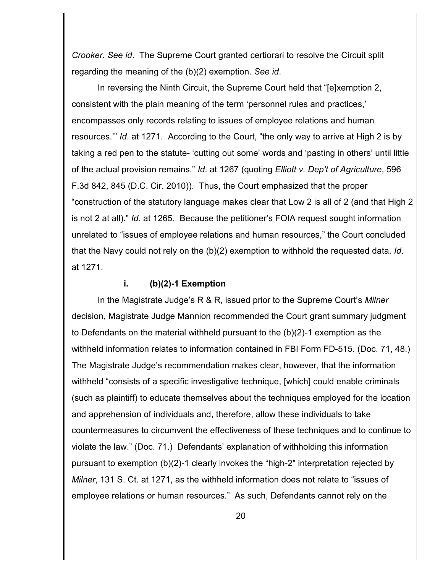*Crooker*. *See id*. The Supreme Court granted certiorari to resolve the Circuit split regarding the meaning of the (b)(2) exemption. *See id*.

In reversing the Ninth Circuit, the Supreme Court held that "[e]xemption 2, consistent with the plain meaning of the term 'personnel rules and practices,' encompasses only records relating to issues of employee relations and human resources.'" *Id*. at 1271. According to the Court, "the only way to arrive at High 2 is by taking a red pen to the statute- 'cutting out some' words and 'pasting in others' until little of the actual provision remains." *Id*. at 1267 (quoting *Elliott v. Dep't of Agriculture*, 596 F.3d 842, 845 (D.C. Cir. 2010)). Thus, the Court emphasized that the proper "construction of the statutory language makes clear that Low 2 is all of 2 (and that High 2 is not 2 at all)." *Id*. at 1265. Because the petitioner's FOIA request sought information unrelated to "issues of employee relations and human resources," the Court concluded that the Navy could not rely on the (b)(2) exemption to withhold the requested data. *Id*. at 1271.

### **i. (b)(2)-1 Exemption**

In the Magistrate Judge's R & R, issued prior to the Supreme Court's *Milner* decision, Magistrate Judge Mannion recommended the Court grant summary judgment to Defendants on the material withheld pursuant to the (b)(2)-1 exemption as the withheld information relates to information contained in FBI Form FD-515. (Doc. 71, 48.) The Magistrate Judge's recommendation makes clear, however, that the information withheld "consists of a specific investigative technique, [which] could enable criminals (such as plaintiff) to educate themselves about the techniques employed for the location and apprehension of individuals and, therefore, allow these individuals to take countermeasures to circumvent the effectiveness of these techniques and to continue to violate the law." (Doc. 71.) Defendants' explanation of withholding this information pursuant to exemption (b)(2)-1 clearly invokes the "high-2" interpretation rejected by *Milner*, 131 S. Ct. at 1271, as the withheld information does not relate to "issues of employee relations or human resources." As such, Defendants cannot rely on the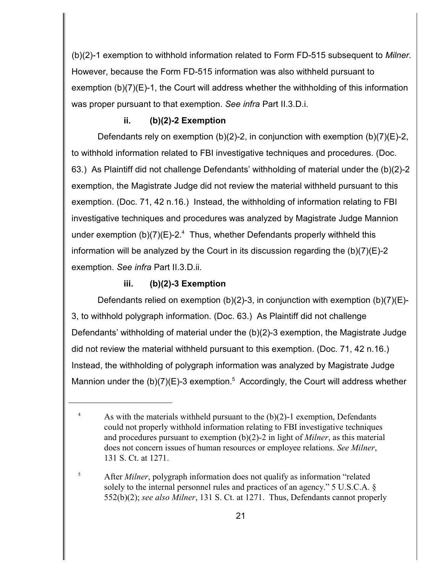(b)(2)-1 exemption to withhold information related to Form FD-515 subsequent to *Milner*. However, because the Form FD-515 information was also withheld pursuant to exemption  $(b)(7)(E)-1$ , the Court will address whether the withholding of this information was proper pursuant to that exemption. *See infra* Part II.3.D.i.

## **ii. (b)(2)-2 Exemption**

Defendants rely on exemption (b)(2)-2, in conjunction with exemption (b)(7)(E)-2, to withhold information related to FBI investigative techniques and procedures. (Doc. 63.) As Plaintiff did not challenge Defendants' withholding of material under the (b)(2)-2 exemption, the Magistrate Judge did not review the material withheld pursuant to this exemption. (Doc. 71, 42 n.16.) Instead, the withholding of information relating to FBI investigative techniques and procedures was analyzed by Magistrate Judge Mannion under exemption (b)(7)(E)-2.<sup>4</sup> Thus, whether Defendants properly withheld this information will be analyzed by the Court in its discussion regarding the  $(b)(7)(E)-2$ exemption. *See infra* Part II.3.D.ii.

## **iii. (b)(2)-3 Exemption**

Defendants relied on exemption (b)(2)-3, in conjunction with exemption (b)(7)(E)- 3, to withhold polygraph information. (Doc. 63.) As Plaintiff did not challenge Defendants' withholding of material under the (b)(2)-3 exemption, the Magistrate Judge did not review the material withheld pursuant to this exemption. (Doc. 71, 42 n.16.) Instead, the withholding of polygraph information was analyzed by Magistrate Judge Mannion under the  $(b)(7)(E)-3$  exemption.<sup>5</sup> Accordingly, the Court will address whether

<sup>&</sup>lt;sup>4</sup> As with the materials withheld pursuant to the  $(b)(2)-1$  exemption, Defendants could not properly withhold information relating to FBI investigative techniques and procedures pursuant to exemption (b)(2)-2 in light of *Milner*, as this material does not concern issues of human resources or employee relations. *See Milner*, 131 S. Ct. at 1271.

<sup>&</sup>lt;sup>5</sup> After *Milner*, polygraph information does not qualify as information "related" solely to the internal personnel rules and practices of an agency." 5 U.S.C.A. § 552(b)(2); *see also Milner*, 131 S. Ct. at 1271. Thus, Defendants cannot properly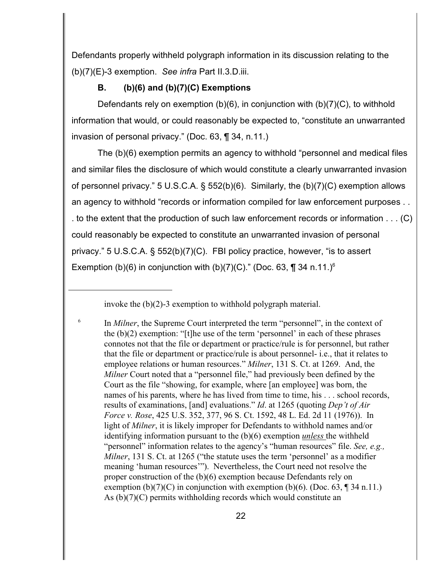Defendants properly withheld polygraph information in its discussion relating to the (b)(7)(E)-3 exemption. *See infra* Part II.3.D.iii.

# **B. (b)(6) and (b)(7)(C) Exemptions**

Defendants rely on exemption (b)(6), in conjunction with (b)(7)(C), to withhold information that would, or could reasonably be expected to, "constitute an unwarranted invasion of personal privacy." (Doc. 63, ¶ 34, n.11.)

The (b)(6) exemption permits an agency to withhold "personnel and medical files and similar files the disclosure of which would constitute a clearly unwarranted invasion of personnel privacy." 5 U.S.C.A. § 552(b)(6). Similarly, the (b)(7)(C) exemption allows an agency to withhold "records or information compiled for law enforcement purposes . . . to the extent that the production of such law enforcement records or information . . . (C) could reasonably be expected to constitute an unwarranted invasion of personal privacy." 5 U.S.C.A. § 552(b)(7)(C). FBI policy practice, however, "is to assert Exemption (b)(6) in conjunction with (b)(7)(C)." (Doc. 63, ¶ 34 n.11.)<sup>6</sup>

invoke the (b)(2)-3 exemption to withhold polygraph material.

<sup>&</sup>lt;sup>6</sup> In *Milner*, the Supreme Court interpreted the term "personnel", in the context of the  $(b)(2)$  exemption: "[t]he use of the term 'personnel' in each of these phrases connotes not that the file or department or practice/rule is for personnel, but rather that the file or department or practice/rule is about personnel- i.e., that it relates to employee relations or human resources." *Milner*, 131 S. Ct. at 1269. And, the *Milner* Court noted that a "personnel file," had previously been defined by the Court as the file "showing, for example, where [an employee] was born, the names of his parents, where he has lived from time to time, his . . . school records, results of examinations, [and] evaluations." *Id*. at 1265 (quoting *Dep't of Air Force v. Rose*, 425 U.S. 352, 377, 96 S. Ct. 1592, 48 L. Ed. 2d 11 (1976)). In light of *Milner*, it is likely improper for Defendants to withhold names and/or identifying information pursuant to the (b)(6) exemption *unless* the withheld "personnel" information relates to the agency's "human resources" file. *See, e.g., Milner*, 131 S. Ct. at 1265 ("the statute uses the term 'personnel' as a modifier meaning 'human resources'"). Nevertheless, the Court need not resolve the proper construction of the (b)(6) exemption because Defendants rely on exemption (b)(7)(C) in conjunction with exemption (b)(6). (Doc. 63,  $\P$  34 n.11.) As (b)(7)(C) permits withholding records which would constitute an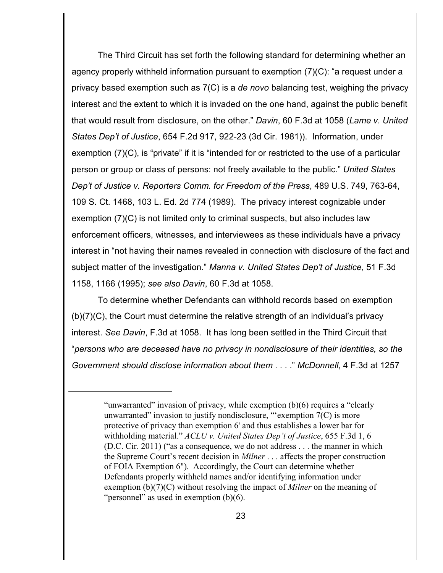The Third Circuit has set forth the following standard for determining whether an agency properly withheld information pursuant to exemption (7)(C): "a request under a privacy based exemption such as 7(C) is a *de novo* balancing test, weighing the privacy interest and the extent to which it is invaded on the one hand, against the public benefit that would result from disclosure, on the other." *Davin*, 60 F.3d at 1058 (*Lame v. United States Dep't of Justice*, 654 F.2d 917, 922-23 (3d Cir. 1981)). Information, under exemption (7)(C), is "private" if it is "intended for or restricted to the use of a particular person or group or class of persons: not freely available to the public." *United States Dep't of Justice v. Reporters Comm. for Freedom of the Press*, 489 U.S. 749, 763-64, 109 S. Ct. 1468, 103 L. Ed. 2d 774 (1989). The privacy interest cognizable under exemption (7)(C) is not limited only to criminal suspects, but also includes law enforcement officers, witnesses, and interviewees as these individuals have a privacy interest in "not having their names revealed in connection with disclosure of the fact and subject matter of the investigation." *Manna v. United States Dep't of Justice*, 51 F.3d 1158, 1166 (1995); *see also Davin*, 60 F.3d at 1058.

To determine whether Defendants can withhold records based on exemption (b)(7)(C), the Court must determine the relative strength of an individual's privacy interest. *See Davin*, F.3d at 1058. It has long been settled in the Third Circuit that "*persons who are deceased have no privacy in nondisclosure of their identities, so the Government should disclose information about them* . . . ." *McDonnell*, 4 F.3d at 1257

<sup>&</sup>quot;unwarranted" invasion of privacy, while exemption (b)(6) requires a "clearly unwarranted" invasion to justify nondisclosure, "'exemption  $7(C)$  is more protective of privacy than exemption 6' and thus establishes a lower bar for withholding material." *ACLU v. United States Dep't of Justice*, 655 F.3d 1, 6 (D.C. Cir. 2011) ("as a consequence, we do not address . . . the manner in which the Supreme Court's recent decision in *Milner* . . . affects the proper construction of FOIA Exemption 6"). Accordingly, the Court can determine whether Defendants properly withheld names and/or identifying information under exemption (b)(7)(C) without resolving the impact of *Milner* on the meaning of "personnel" as used in exemption (b)(6).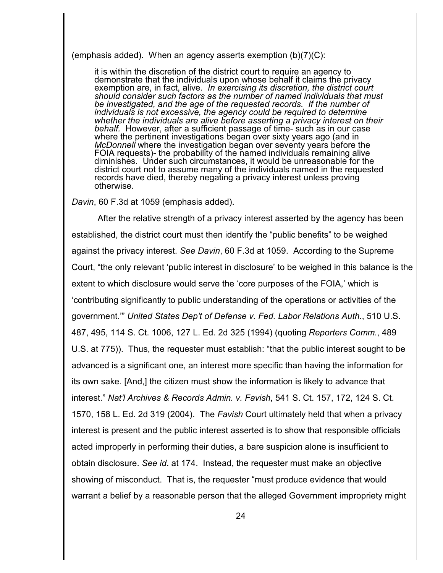(emphasis added). When an agency asserts exemption (b)(7)(C):

it is within the discretion of the district court to require an agency to demonstrate that the individuals upon whose behalf it claims the privacy exemption are, in fact, alive. *In exercising its discretion, the district court should consider such factors as the number of named individuals that must be investigated, and the age of the requested records. If the number of individuals is not excessive, the agency could be required to determine whether the individuals are alive before asserting a privacy interest on their behalf.* However, after a sufficient passage of time- such as in our case where the pertinent investigations began over sixty years ago (and in *McDonnell* where the investigation began over seventy years before the FOIA requests)- the probability of the named individuals remaining alive diminishes. Under such circumstances, it would be unreasonable for the district court not to assume many of the individuals named in the requested records have died, thereby negating a privacy interest unless proving otherwise.

*Davin*, 60 F.3d at 1059 (emphasis added).

After the relative strength of a privacy interest asserted by the agency has been established, the district court must then identify the "public benefits" to be weighed against the privacy interest. *See Davin*, 60 F.3d at 1059. According to the Supreme Court, "the only relevant 'public interest in disclosure' to be weighed in this balance is the extent to which disclosure would serve the 'core purposes of the FOIA,' which is 'contributing significantly to public understanding of the operations or activities of the government.'" *United States Dep't of Defense v. Fed. Labor Relations Auth.*, 510 U.S. 487, 495, 114 S. Ct. 1006, 127 L. Ed. 2d 325 (1994) (quoting *Reporters Comm.*, 489 U.S. at 775)). Thus, the requester must establish: "that the public interest sought to be advanced is a significant one, an interest more specific than having the information for its own sake. [And,] the citizen must show the information is likely to advance that interest." *Nat'l Archives & Records Admin. v. Favish*, 541 S. Ct. 157, 172, 124 S. Ct. 1570, 158 L. Ed. 2d 319 (2004). The *Favish* Court ultimately held that when a privacy interest is present and the public interest asserted is to show that responsible officials acted improperly in performing their duties, a bare suspicion alone is insufficient to obtain disclosure. *See id*. at 174. Instead, the requester must make an objective showing of misconduct. That is, the requester "must produce evidence that would warrant a belief by a reasonable person that the alleged Government impropriety might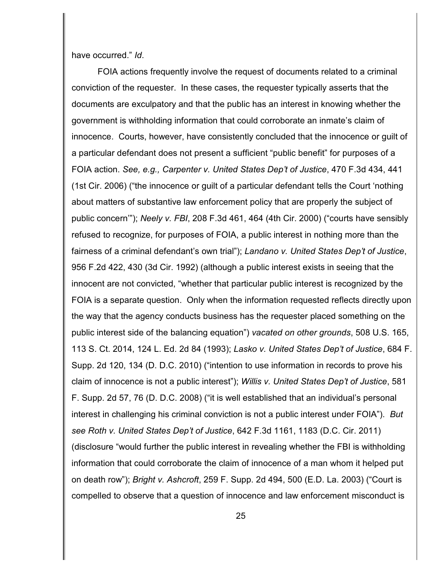have occurred." *Id*.

FOIA actions frequently involve the request of documents related to a criminal conviction of the requester. In these cases, the requester typically asserts that the documents are exculpatory and that the public has an interest in knowing whether the government is withholding information that could corroborate an inmate's claim of innocence. Courts, however, have consistently concluded that the innocence or guilt of a particular defendant does not present a sufficient "public benefit" for purposes of a FOIA action. *See, e.g., Carpenter v. United States Dep't of Justice*, 470 F.3d 434, 441 (1st Cir. 2006) ("the innocence or guilt of a particular defendant tells the Court 'nothing about matters of substantive law enforcement policy that are properly the subject of public concern'"); *Neely v. FBI*, 208 F.3d 461, 464 (4th Cir. 2000) ("courts have sensibly refused to recognize, for purposes of FOIA, a public interest in nothing more than the fairness of a criminal defendant's own trial"); *Landano v. United States Dep't of Justice*, 956 F.2d 422, 430 (3d Cir. 1992) (although a public interest exists in seeing that the innocent are not convicted, "whether that particular public interest is recognized by the FOIA is a separate question. Only when the information requested reflects directly upon the way that the agency conducts business has the requester placed something on the public interest side of the balancing equation") *vacated on other grounds*, 508 U.S. 165, 113 S. Ct. 2014, 124 L. Ed. 2d 84 (1993); *Lasko v. United States Dep't of Justice*, 684 F. Supp. 2d 120, 134 (D. D.C. 2010) ("intention to use information in records to prove his claim of innocence is not a public interest"); *Willis v. United States Dep't of Justice*, 581 F. Supp. 2d 57, 76 (D. D.C. 2008) ("it is well established that an individual's personal interest in challenging his criminal conviction is not a public interest under FOIA"). *But see Roth v. United States Dep't of Justice*, 642 F.3d 1161, 1183 (D.C. Cir. 2011) (disclosure "would further the public interest in revealing whether the FBI is withholding information that could corroborate the claim of innocence of a man whom it helped put on death row"); *Bright v. Ashcroft*, 259 F. Supp. 2d 494, 500 (E.D. La. 2003) ("Court is compelled to observe that a question of innocence and law enforcement misconduct is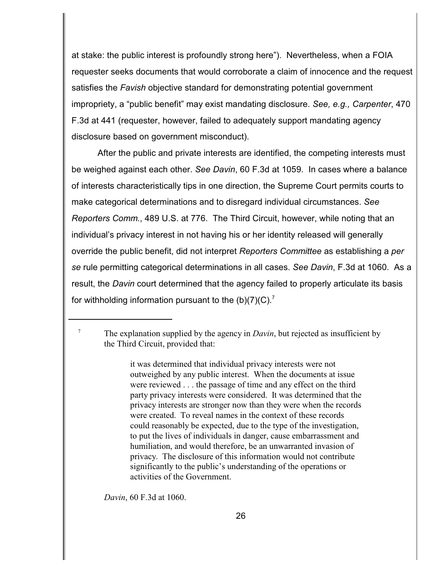at stake: the public interest is profoundly strong here"). Nevertheless, when a FOIA requester seeks documents that would corroborate a claim of innocence and the request satisfies the *Favish* objective standard for demonstrating potential government impropriety, a "public benefit" may exist mandating disclosure. *See, e.g., Carpenter*, 470 F.3d at 441 (requester, however, failed to adequately support mandating agency disclosure based on government misconduct).

After the public and private interests are identified, the competing interests must be weighed against each other. *See Davin*, 60 F.3d at 1059. In cases where a balance of interests characteristically tips in one direction, the Supreme Court permits courts to make categorical determinations and to disregard individual circumstances. *See Reporters Comm.*, 489 U.S. at 776. The Third Circuit, however, while noting that an individual's privacy interest in not having his or her identity released will generally override the public benefit, did not interpret *Reporters Committee* as establishing a *per se* rule permitting categorical determinations in all cases. *See Davin*, F.3d at 1060. As a result, the *Davin* court determined that the agency failed to properly articulate its basis for withholding information pursuant to the  $(b)(7)(C)^7$ 

it was determined that individual privacy interests were not outweighed by any public interest. When the documents at issue were reviewed . . . the passage of time and any effect on the third party privacy interests were considered. It was determined that the privacy interests are stronger now than they were when the records were created. To reveal names in the context of these records could reasonably be expected, due to the type of the investigation, to put the lives of individuals in danger, cause embarrassment and humiliation, and would therefore, be an unwarranted invasion of privacy. The disclosure of this information would not contribute significantly to the public's understanding of the operations or activities of the Government.

*Davin*, 60 F.3d at 1060.

 $^7$  The explanation supplied by the agency in *Davin*, but rejected as insufficient by the Third Circuit, provided that: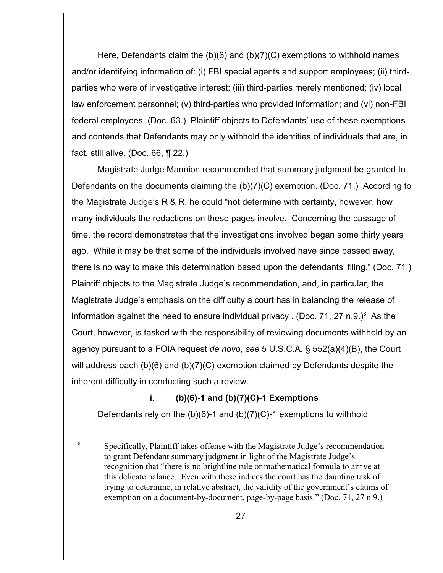Here, Defendants claim the (b)(6) and (b)(7)(C) exemptions to withhold names and/or identifying information of: (i) FBI special agents and support employees; (ii) thirdparties who were of investigative interest; (iii) third-parties merely mentioned; (iv) local law enforcement personnel; (v) third-parties who provided information; and (vi) non-FBI federal employees. (Doc. 63.) Plaintiff objects to Defendants' use of these exemptions and contends that Defendants may only withhold the identities of individuals that are, in fact, still alive. (Doc. 66,  $\P$  22.)

Magistrate Judge Mannion recommended that summary judgment be granted to Defendants on the documents claiming the (b)(7)(C) exemption. (Doc. 71.) According to the Magistrate Judge's R & R, he could "not determine with certainty, however, how many individuals the redactions on these pages involve. Concerning the passage of time, the record demonstrates that the investigations involved began some thirty years ago. While it may be that some of the individuals involved have since passed away, there is no way to make this determination based upon the defendants' filing." (Doc. 71.) Plaintiff objects to the Magistrate Judge's recommendation, and, in particular, the Magistrate Judge's emphasis on the difficulty a court has in balancing the release of information against the need to ensure individual privacy. (Doc. 71, 27 n.9.) $^8$  As the Court, however, is tasked with the responsibility of reviewing documents withheld by an agency pursuant to a FOIA request *de novo*, *see* 5 U.S.C.A. § 552(a)(4)(B), the Court will address each (b)(6) and (b)(7)(C) exemption claimed by Defendants despite the inherent difficulty in conducting such a review.

## **i. (b)(6)-1 and (b)(7)(C)-1 Exemptions**

Defendants rely on the  $(b)(6)-1$  and  $(b)(7)(C)-1$  exemptions to withhold

Specifically, Plaintiff takes offense with the Magistrate Judge's recommendation <sup>8</sup> to grant Defendant summary judgment in light of the Magistrate Judge's recognition that "there is no brightline rule or mathematical formula to arrive at this delicate balance. Even with these indices the court has the daunting task of trying to determine, in relative abstract, the validity of the government's claims of exemption on a document-by-document, page-by-page basis." (Doc. 71, 27 n.9.)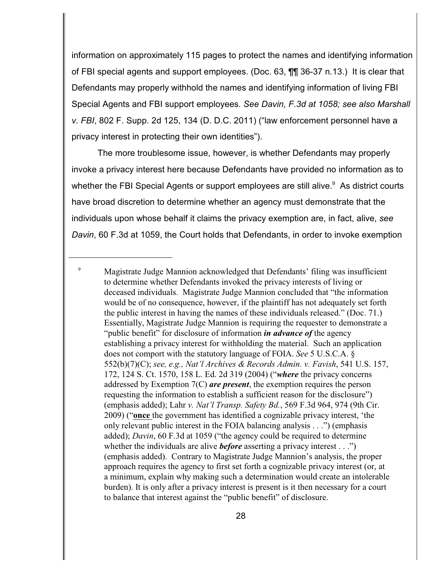information on approximately 115 pages to protect the names and identifying information of FBI special agents and support employees. (Doc. 63, ¶¶ 36-37 n.13.) It is clear that Defendants may properly withhold the names and identifying information of living FBI Special Agents and FBI support employees*. See Davin, F.3d at 1058; see also Marshall v. FBI*, 802 F. Supp. 2d 125, 134 (D. D.C. 2011) ("law enforcement personnel have a privacy interest in protecting their own identities").

The more troublesome issue, however, is whether Defendants may properly invoke a privacy interest here because Defendants have provided no information as to whether the FBI Special Agents or support employees are still alive.<sup>9</sup> As district courts have broad discretion to determine whether an agency must demonstrate that the individuals upon whose behalf it claims the privacy exemption are, in fact, alive, *see Davin*, 60 F.3d at 1059, the Court holds that Defendants, in order to invoke exemption

<sup>&</sup>lt;sup>9</sup> Magistrate Judge Mannion acknowledged that Defendants' filing was insufficient to determine whether Defendants invoked the privacy interests of living or deceased individuals. Magistrate Judge Mannion concluded that "the information would be of no consequence, however, if the plaintiff has not adequately set forth the public interest in having the names of these individuals released." (Doc. 71.) Essentially, Magistrate Judge Mannion is requiring the requester to demonstrate a "public benefit" for disclosure of information *in advance of* the agency establishing a privacy interest for withholding the material. Such an application does not comport with the statutory language of FOIA. *See* 5 U.S.C.A. § 552(b)(7)(C); *see, e.g., Nat'l Archives & Records Admin. v. Favish*, 541 U.S. 157, 172, 124 S. Ct. 1570, 158 L. Ed. 2d 319 (2004) ("*where* the privacy concerns addressed by Exemption 7(C) *are present*, the exemption requires the person requesting the information to establish a sufficient reason for the disclosure") (emphasis added); Lahr *v. Nat'l Transp. Safety Bd.*, 569 F.3d 964, 974 (9th Cir. 2009) ("**once** the government has identified a cognizable privacy interest, 'the only relevant public interest in the FOIA balancing analysis . . .") (emphasis added); *Davin*, 60 F.3d at 1059 ("the agency could be required to determine whether the individuals are alive *before* asserting a privacy interest . . .") (emphasis added). Contrary to Magistrate Judge Mannion's analysis, the proper approach requires the agency to first set forth a cognizable privacy interest (or, at a minimum, explain why making such a determination would create an intolerable burden). It is only after a privacy interest is present is it then necessary for a court to balance that interest against the "public benefit" of disclosure.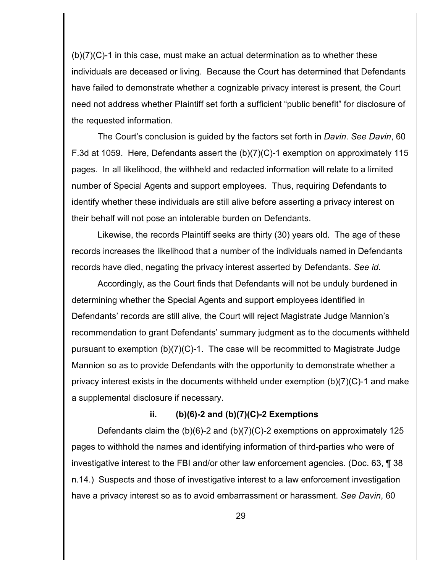(b)(7)(C)-1 in this case, must make an actual determination as to whether these individuals are deceased or living. Because the Court has determined that Defendants have failed to demonstrate whether a cognizable privacy interest is present, the Court need not address whether Plaintiff set forth a sufficient "public benefit" for disclosure of the requested information.

The Court's conclusion is guided by the factors set forth in *Davin*. *See Davin*, 60 F.3d at 1059. Here, Defendants assert the (b)(7)(C)-1 exemption on approximately 115 pages. In all likelihood, the withheld and redacted information will relate to a limited number of Special Agents and support employees. Thus, requiring Defendants to identify whether these individuals are still alive before asserting a privacy interest on their behalf will not pose an intolerable burden on Defendants.

Likewise, the records Plaintiff seeks are thirty (30) years old. The age of these records increases the likelihood that a number of the individuals named in Defendants records have died, negating the privacy interest asserted by Defendants. *See id*.

Accordingly, as the Court finds that Defendants will not be unduly burdened in determining whether the Special Agents and support employees identified in Defendants' records are still alive, the Court will reject Magistrate Judge Mannion's recommendation to grant Defendants' summary judgment as to the documents withheld pursuant to exemption (b)(7)(C)-1. The case will be recommitted to Magistrate Judge Mannion so as to provide Defendants with the opportunity to demonstrate whether a privacy interest exists in the documents withheld under exemption (b)(7)(C)-1 and make a supplemental disclosure if necessary.

## **ii. (b)(6)-2 and (b)(7)(C)-2 Exemptions**

Defendants claim the (b)(6)-2 and (b)(7)(C)-2 exemptions on approximately 125 pages to withhold the names and identifying information of third-parties who were of investigative interest to the FBI and/or other law enforcement agencies. (Doc. 63, ¶ 38 n.14.) Suspects and those of investigative interest to a law enforcement investigation have a privacy interest so as to avoid embarrassment or harassment. *See Davin*, 60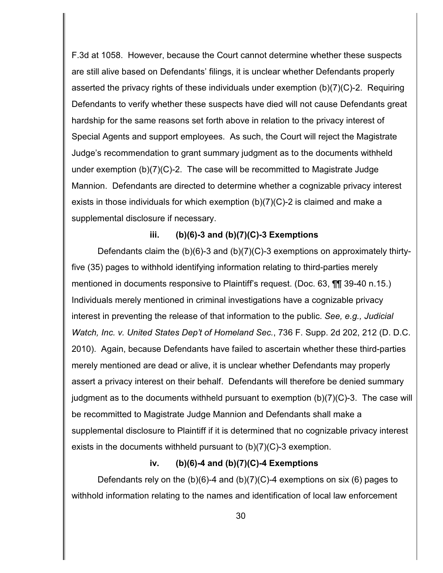F.3d at 1058. However, because the Court cannot determine whether these suspects are still alive based on Defendants' filings, it is unclear whether Defendants properly asserted the privacy rights of these individuals under exemption (b)(7)(C)-2. Requiring Defendants to verify whether these suspects have died will not cause Defendants great hardship for the same reasons set forth above in relation to the privacy interest of Special Agents and support employees. As such, the Court will reject the Magistrate Judge's recommendation to grant summary judgment as to the documents withheld under exemption (b)(7)(C)-2. The case will be recommitted to Magistrate Judge Mannion. Defendants are directed to determine whether a cognizable privacy interest exists in those individuals for which exemption (b)(7)(C)-2 is claimed and make a supplemental disclosure if necessary.

### **iii. (b)(6)-3 and (b)(7)(C)-3 Exemptions**

Defendants claim the (b)(6)-3 and (b)(7)(C)-3 exemptions on approximately thirtyfive (35) pages to withhold identifying information relating to third-parties merely mentioned in documents responsive to Plaintiff's request. (Doc. 63, ¶¶ 39-40 n.15.) Individuals merely mentioned in criminal investigations have a cognizable privacy interest in preventing the release of that information to the public. *See, e.g., Judicial Watch, Inc. v. United States Dep't of Homeland Sec.*, 736 F. Supp. 2d 202, 212 (D. D.C. 2010). Again, because Defendants have failed to ascertain whether these third-parties merely mentioned are dead or alive, it is unclear whether Defendants may properly assert a privacy interest on their behalf. Defendants will therefore be denied summary judgment as to the documents withheld pursuant to exemption (b)(7)(C)-3. The case will be recommitted to Magistrate Judge Mannion and Defendants shall make a supplemental disclosure to Plaintiff if it is determined that no cognizable privacy interest exists in the documents withheld pursuant to (b)(7)(C)-3 exemption.

### **iv. (b)(6)-4 and (b)(7)(C)-4 Exemptions**

Defendants rely on the  $(b)(6)-4$  and  $(b)(7)(C)-4$  exemptions on six (6) pages to withhold information relating to the names and identification of local law enforcement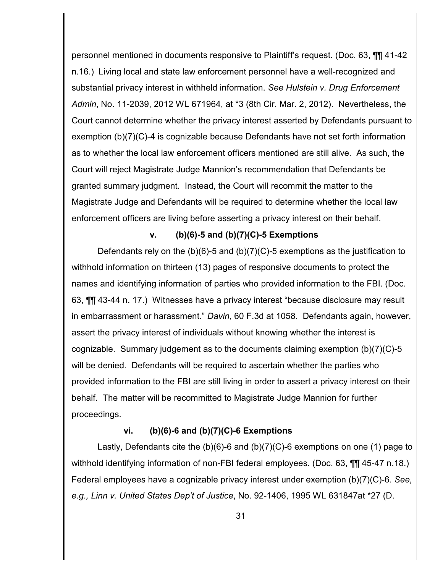personnel mentioned in documents responsive to Plaintiff's request. (Doc. 63, ¶¶ 41-42 n.16.) Living local and state law enforcement personnel have a well-recognized and substantial privacy interest in withheld information. *See Hulstein v. Drug Enforcement Admin*, No. 11-2039, 2012 WL 671964, at \*3 (8th Cir. Mar. 2, 2012). Nevertheless, the Court cannot determine whether the privacy interest asserted by Defendants pursuant to exemption (b)(7)(C)-4 is cognizable because Defendants have not set forth information as to whether the local law enforcement officers mentioned are still alive. As such, the Court will reject Magistrate Judge Mannion's recommendation that Defendants be granted summary judgment. Instead, the Court will recommit the matter to the Magistrate Judge and Defendants will be required to determine whether the local law enforcement officers are living before asserting a privacy interest on their behalf.

### **v. (b)(6)-5 and (b)(7)(C)-5 Exemptions**

Defendants rely on the (b)(6)-5 and (b)(7)(C)-5 exemptions as the justification to withhold information on thirteen (13) pages of responsive documents to protect the names and identifying information of parties who provided information to the FBI. (Doc. 63, ¶¶ 43-44 n. 17.) Witnesses have a privacy interest "because disclosure may result in embarrassment or harassment." *Davin*, 60 F.3d at 1058. Defendants again, however, assert the privacy interest of individuals without knowing whether the interest is cognizable. Summary judgement as to the documents claiming exemption (b)(7)(C)-5 will be denied. Defendants will be required to ascertain whether the parties who provided information to the FBI are still living in order to assert a privacy interest on their behalf. The matter will be recommitted to Magistrate Judge Mannion for further proceedings.

## **vi. (b)(6)-6 and (b)(7)(C)-6 Exemptions**

Lastly, Defendants cite the (b)(6)-6 and (b)(7)(C)-6 exemptions on one (1) page to withhold identifying information of non-FBI federal employees. (Doc. 63, **[1]** 45-47 n.18.) Federal employees have a cognizable privacy interest under exemption (b)(7)(C)-6. *See, e.g., Linn v. United States Dep't of Justice*, No. 92-1406, 1995 WL 631847at \*27 (D.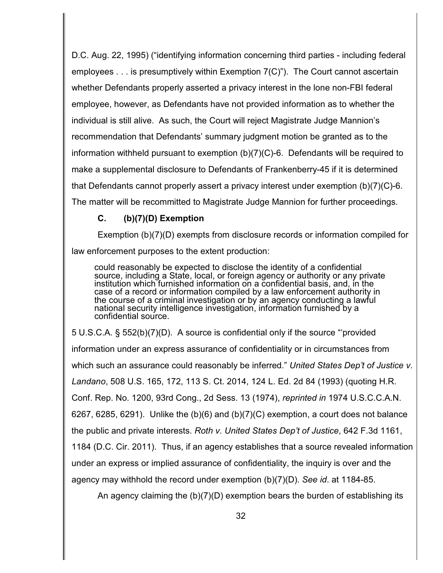D.C. Aug. 22, 1995) ("identifying information concerning third parties - including federal employees . . . is presumptively within Exemption 7(C)"). The Court cannot ascertain whether Defendants properly asserted a privacy interest in the lone non-FBI federal employee, however, as Defendants have not provided information as to whether the individual is still alive. As such, the Court will reject Magistrate Judge Mannion's recommendation that Defendants' summary judgment motion be granted as to the information withheld pursuant to exemption (b)(7)(C)-6. Defendants will be required to make a supplemental disclosure to Defendants of Frankenberry-45 if it is determined that Defendants cannot properly assert a privacy interest under exemption (b)(7)(C)-6. The matter will be recommitted to Magistrate Judge Mannion for further proceedings.

# **C. (b)(7)(D) Exemption**

Exemption (b)(7)(D) exempts from disclosure records or information compiled for law enforcement purposes to the extent production:

could reasonably be expected to disclose the identity of a confidential source, including a State, local, or foreign agency or authority or any private institution which furnished information on a confidential basis, and, in the case of a record or information compiled by a law enforcement authority in the course of a criminal investigation or by an agency conducting a lawful national security intelligence investigation, information furnished by a confidential source.

5 U.S.C.A. § 552(b)(7)(D). A source is confidential only if the source "'provided information under an express assurance of confidentiality or in circumstances from which such an assurance could reasonably be inferred." *United States Dep't of Justice v. Landano*, 508 U.S. 165, 172, 113 S. Ct. 2014, 124 L. Ed. 2d 84 (1993) (quoting H.R. Conf. Rep. No. 1200, 93rd Cong., 2d Sess. 13 (1974), *reprinted in* 1974 U.S.C.C.A.N. 6267, 6285, 6291). Unlike the  $(b)(6)$  and  $(b)(7)(C)$  exemption, a court does not balance the public and private interests. *Roth v. United States Dep't of Justice*, 642 F.3d 1161, 1184 (D.C. Cir. 2011). Thus, if an agency establishes that a source revealed information under an express or implied assurance of confidentiality, the inquiry is over and the agency may withhold the record under exemption (b)(7)(D). *See id*. at 1184-85.

An agency claiming the (b)(7)(D) exemption bears the burden of establishing its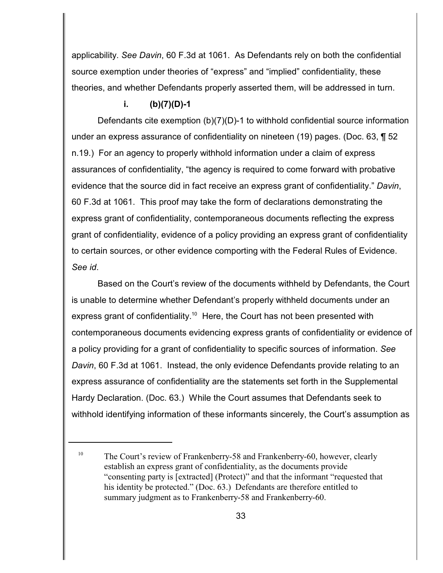applicability. *See Davin*, 60 F.3d at 1061. As Defendants rely on both the confidential source exemption under theories of "express" and "implied" confidentiality, these theories, and whether Defendants properly asserted them, will be addressed in turn.

# **i. (b)(7)(D)-1**

Defendants cite exemption (b)(7)(D)-1 to withhold confidential source information under an express assurance of confidentiality on nineteen (19) pages. (Doc. 63, ¶ 52 n.19.) For an agency to properly withhold information under a claim of express assurances of confidentiality, "the agency is required to come forward with probative evidence that the source did in fact receive an express grant of confidentiality." *Davin*, 60 F.3d at 1061. This proof may take the form of declarations demonstrating the express grant of confidentiality, contemporaneous documents reflecting the express grant of confidentiality, evidence of a policy providing an express grant of confidentiality to certain sources, or other evidence comporting with the Federal Rules of Evidence. *See id*.

Based on the Court's review of the documents withheld by Defendants, the Court is unable to determine whether Defendant's properly withheld documents under an express grant of confidentiality.<sup>10</sup> Here, the Court has not been presented with contemporaneous documents evidencing express grants of confidentiality or evidence of a policy providing for a grant of confidentiality to specific sources of information. *See Davin*, 60 F.3d at 1061. Instead, the only evidence Defendants provide relating to an express assurance of confidentiality are the statements set forth in the Supplemental Hardy Declaration. (Doc. 63.) While the Court assumes that Defendants seek to withhold identifying information of these informants sincerely, the Court's assumption as

<sup>&</sup>lt;sup>10</sup> The Court's review of Frankenberry-58 and Frankenberry-60, however, clearly establish an express grant of confidentiality, as the documents provide "consenting party is [extracted] (Protect)" and that the informant "requested that his identity be protected." (Doc. 63.) Defendants are therefore entitled to summary judgment as to Frankenberry-58 and Frankenberry-60.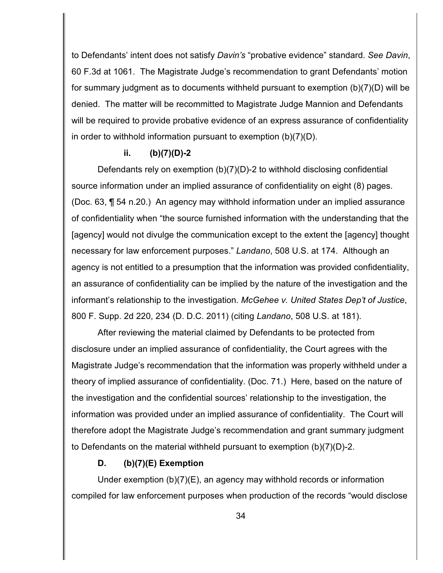to Defendants' intent does not satisfy *Davin's* "probative evidence" standard. *See Davin*, 60 F.3d at 1061. The Magistrate Judge's recommendation to grant Defendants' motion for summary judgment as to documents withheld pursuant to exemption (b)(7)(D) will be denied. The matter will be recommitted to Magistrate Judge Mannion and Defendants will be required to provide probative evidence of an express assurance of confidentiality in order to withhold information pursuant to exemption (b)(7)(D).

### **ii. (b)(7)(D)-2**

Defendants rely on exemption (b)(7)(D)-2 to withhold disclosing confidential source information under an implied assurance of confidentiality on eight (8) pages. (Doc. 63, ¶ 54 n.20.) An agency may withhold information under an implied assurance of confidentiality when "the source furnished information with the understanding that the [agency] would not divulge the communication except to the extent the [agency] thought necessary for law enforcement purposes." *Landano*, 508 U.S. at 174. Although an agency is not entitled to a presumption that the information was provided confidentiality, an assurance of confidentiality can be implied by the nature of the investigation and the informant's relationship to the investigation. *McGehee v. United States Dep't of Justice*, 800 F. Supp. 2d 220, 234 (D. D.C. 2011) (citing *Landano*, 508 U.S. at 181).

After reviewing the material claimed by Defendants to be protected from disclosure under an implied assurance of confidentiality, the Court agrees with the Magistrate Judge's recommendation that the information was properly withheld under a theory of implied assurance of confidentiality. (Doc. 71.) Here, based on the nature of the investigation and the confidential sources' relationship to the investigation, the information was provided under an implied assurance of confidentiality. The Court will therefore adopt the Magistrate Judge's recommendation and grant summary judgment to Defendants on the material withheld pursuant to exemption (b)(7)(D)-2.

## **D. (b)(7)(E) Exemption**

Under exemption (b)(7)(E), an agency may withhold records or information compiled for law enforcement purposes when production of the records "would disclose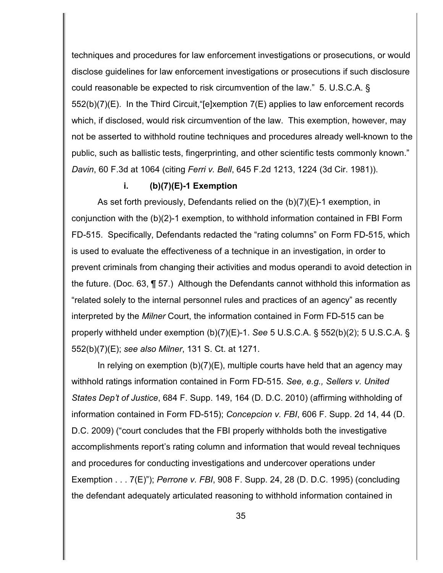techniques and procedures for law enforcement investigations or prosecutions, or would disclose guidelines for law enforcement investigations or prosecutions if such disclosure could reasonable be expected to risk circumvention of the law." 5. U.S.C.A. § 552(b)(7)(E). In the Third Circuit,"[e]xemption 7(E) applies to law enforcement records which, if disclosed, would risk circumvention of the law. This exemption, however, may not be asserted to withhold routine techniques and procedures already well-known to the public, such as ballistic tests, fingerprinting, and other scientific tests commonly known." *Davin*, 60 F.3d at 1064 (citing *Ferri v. Bell*, 645 F.2d 1213, 1224 (3d Cir. 1981)).

### **i. (b)(7)(E)-1 Exemption**

As set forth previously, Defendants relied on the (b)(7)(E)-1 exemption, in conjunction with the (b)(2)-1 exemption, to withhold information contained in FBI Form FD-515. Specifically, Defendants redacted the "rating columns" on Form FD-515, which is used to evaluate the effectiveness of a technique in an investigation, in order to prevent criminals from changing their activities and modus operandi to avoid detection in the future. (Doc. 63, ¶ 57.) Although the Defendants cannot withhold this information as "related solely to the internal personnel rules and practices of an agency" as recently interpreted by the *Milner* Court, the information contained in Form FD-515 can be properly withheld under exemption (b)(7)(E)-1. *See* 5 U.S.C.A. § 552(b)(2); 5 U.S.C.A. § 552(b)(7)(E); *see also Milner*, 131 S. Ct. at 1271.

In relying on exemption  $(b)(7)(E)$ , multiple courts have held that an agency may withhold ratings information contained in Form FD-515. *See, e.g., Sellers v. United States Dep't of Justice*, 684 F. Supp. 149, 164 (D. D.C. 2010) (affirming withholding of information contained in Form FD-515); *Concepcion v. FBI*, 606 F. Supp. 2d 14, 44 (D. D.C. 2009) ("court concludes that the FBI properly withholds both the investigative accomplishments report's rating column and information that would reveal techniques and procedures for conducting investigations and undercover operations under Exemption . . . 7(E)"); *Perrone v. FBI*, 908 F. Supp. 24, 28 (D. D.C. 1995) (concluding the defendant adequately articulated reasoning to withhold information contained in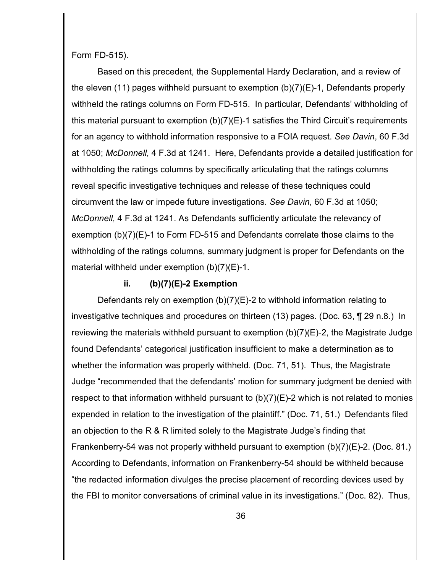Form FD-515).

Based on this precedent, the Supplemental Hardy Declaration, and a review of the eleven (11) pages withheld pursuant to exemption (b)(7)(E)-1, Defendants properly withheld the ratings columns on Form FD-515. In particular, Defendants' withholding of this material pursuant to exemption (b)(7)(E)-1 satisfies the Third Circuit's requirements for an agency to withhold information responsive to a FOIA request. *See Davin*, 60 F.3d at 1050; *McDonnell*, 4 F.3d at 1241. Here, Defendants provide a detailed justification for withholding the ratings columns by specifically articulating that the ratings columns reveal specific investigative techniques and release of these techniques could circumvent the law or impede future investigations. *See Davin*, 60 F.3d at 1050; *McDonnell*, 4 F.3d at 1241. As Defendants sufficiently articulate the relevancy of exemption (b)(7)(E)-1 to Form FD-515 and Defendants correlate those claims to the withholding of the ratings columns, summary judgment is proper for Defendants on the material withheld under exemption (b)(7)(E)-1.

### **ii. (b)(7)(E)-2 Exemption**

Defendants rely on exemption (b)(7)(E)-2 to withhold information relating to investigative techniques and procedures on thirteen (13) pages. (Doc. 63, ¶ 29 n.8.) In reviewing the materials withheld pursuant to exemption (b)(7)(E)-2, the Magistrate Judge found Defendants' categorical justification insufficient to make a determination as to whether the information was properly withheld. (Doc. 71, 51). Thus, the Magistrate Judge "recommended that the defendants' motion for summary judgment be denied with respect to that information withheld pursuant to  $(b)(7)(E)-2$  which is not related to monies expended in relation to the investigation of the plaintiff." (Doc. 71, 51.) Defendants filed an objection to the R & R limited solely to the Magistrate Judge's finding that Frankenberry-54 was not properly withheld pursuant to exemption (b)(7)(E)-2. (Doc. 81.) According to Defendants, information on Frankenberry-54 should be withheld because "the redacted information divulges the precise placement of recording devices used by the FBI to monitor conversations of criminal value in its investigations." (Doc. 82). Thus,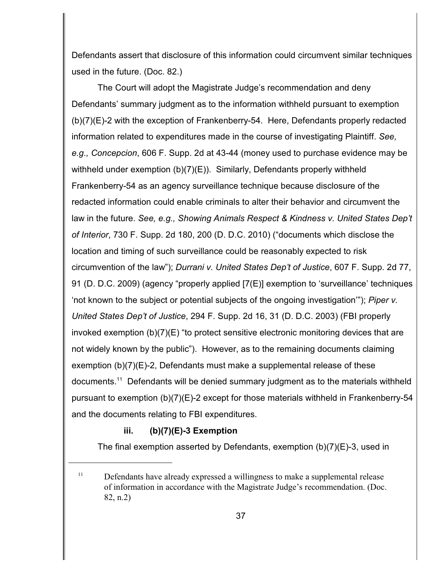Defendants assert that disclosure of this information could circumvent similar techniques used in the future. (Doc. 82.)

The Court will adopt the Magistrate Judge's recommendation and deny Defendants' summary judgment as to the information withheld pursuant to exemption (b)(7)(E)-2 with the exception of Frankenberry-54. Here, Defendants properly redacted information related to expenditures made in the course of investigating Plaintiff. *See, e.g., Concepcion*, 606 F. Supp. 2d at 43-44 (money used to purchase evidence may be withheld under exemption (b)(7)(E)). Similarly, Defendants properly withheld Frankenberry-54 as an agency surveillance technique because disclosure of the redacted information could enable criminals to alter their behavior and circumvent the law in the future. *See, e.g., Showing Animals Respect & Kindness v. United States Dep't of Interior*, 730 F. Supp. 2d 180, 200 (D. D.C. 2010) ("documents which disclose the location and timing of such surveillance could be reasonably expected to risk circumvention of the law"); *Durrani v. United States Dep't of Justice*, 607 F. Supp. 2d 77, 91 (D. D.C. 2009) (agency "properly applied [7(E)] exemption to 'surveillance' techniques 'not known to the subject or potential subjects of the ongoing investigation'"); *Piper v. United States Dep't of Justice*, 294 F. Supp. 2d 16, 31 (D. D.C. 2003) (FBI properly invoked exemption  $(b)(7)(E)$  "to protect sensitive electronic monitoring devices that are not widely known by the public"). However, as to the remaining documents claiming exemption (b)(7)(E)-2, Defendants must make a supplemental release of these documents.<sup>11</sup> Defendants will be denied summary judgment as to the materials withheld pursuant to exemption (b)(7)(E)-2 except for those materials withheld in Frankenberry-54 and the documents relating to FBI expenditures.

## **iii. (b)(7)(E)-3 Exemption**

The final exemption asserted by Defendants, exemption  $(b)(7)(E)-3$ , used in

 $11$  Defendants have already expressed a willingness to make a supplemental release of information in accordance with the Magistrate Judge's recommendation. (Doc. 82, n.2)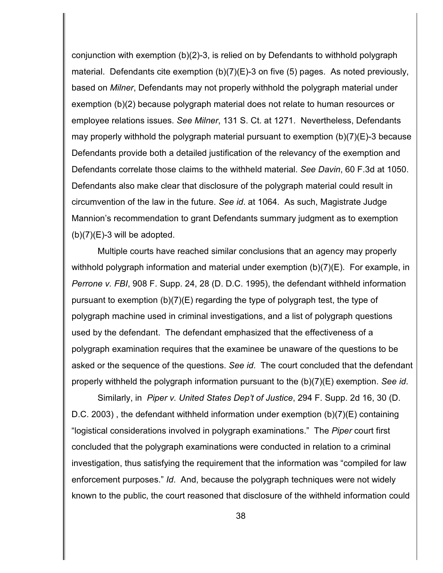conjunction with exemption (b)(2)-3, is relied on by Defendants to withhold polygraph material. Defendants cite exemption (b)(7)(E)-3 on five (5) pages. As noted previously, based on *Milner*, Defendants may not properly withhold the polygraph material under exemption (b)(2) because polygraph material does not relate to human resources or employee relations issues. *See Milner*, 131 S. Ct. at 1271. Nevertheless, Defendants may properly withhold the polygraph material pursuant to exemption  $(b)(7)(E)-3$  because Defendants provide both a detailed justification of the relevancy of the exemption and Defendants correlate those claims to the withheld material. *See Davin*, 60 F.3d at 1050. Defendants also make clear that disclosure of the polygraph material could result in circumvention of the law in the future. *See id*. at 1064. As such, Magistrate Judge Mannion's recommendation to grant Defendants summary judgment as to exemption  $(b)(7)(E)-3$  will be adopted.

Multiple courts have reached similar conclusions that an agency may properly withhold polygraph information and material under exemption (b)(7)(E). For example, in *Perrone v. FBI*, 908 F. Supp. 24, 28 (D. D.C. 1995), the defendant withheld information pursuant to exemption (b)(7)(E) regarding the type of polygraph test, the type of polygraph machine used in criminal investigations, and a list of polygraph questions used by the defendant. The defendant emphasized that the effectiveness of a polygraph examination requires that the examinee be unaware of the questions to be asked or the sequence of the questions. *See id*. The court concluded that the defendant properly withheld the polygraph information pursuant to the (b)(7)(E) exemption. *See id*.

Similarly, in *Piper v. United States Dep't of Justice*, 294 F. Supp. 2d 16, 30 (D. D.C. 2003) , the defendant withheld information under exemption (b)(7)(E) containing "logistical considerations involved in polygraph examinations." The *Piper* court first concluded that the polygraph examinations were conducted in relation to a criminal investigation, thus satisfying the requirement that the information was "compiled for law enforcement purposes." *Id*. And, because the polygraph techniques were not widely known to the public, the court reasoned that disclosure of the withheld information could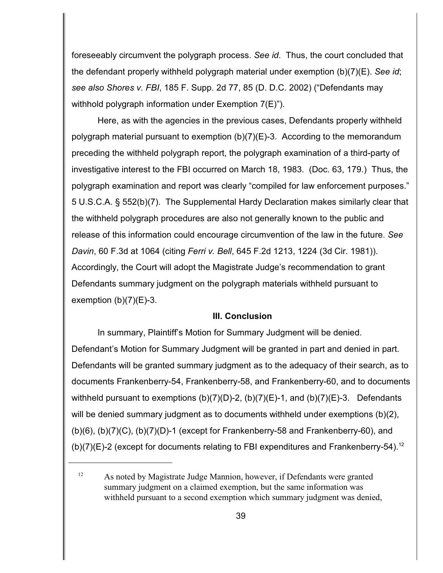foreseeably circumvent the polygraph process. *See id*. Thus, the court concluded that the defendant properly withheld polygraph material under exemption (b)(7)(E). *See id*; *see also Shores v. FBI*, 185 F. Supp. 2d 77, 85 (D. D.C. 2002) ("Defendants may withhold polygraph information under Exemption 7(E)").

Here, as with the agencies in the previous cases, Defendants properly withheld polygraph material pursuant to exemption (b)(7)(E)-3. According to the memorandum preceding the withheld polygraph report, the polygraph examination of a third-party of investigative interest to the FBI occurred on March 18, 1983. (Doc. 63, 179.) Thus, the polygraph examination and report was clearly "compiled for law enforcement purposes." 5 U.S.C.A. § 552(b)(7). The Supplemental Hardy Declaration makes similarly clear that the withheld polygraph procedures are also not generally known to the public and release of this information could encourage circumvention of the law in the future. *See Davin*, 60 F.3d at 1064 (citing *Ferri v. Bell*, 645 F.2d 1213, 1224 (3d Cir. 1981)). Accordingly, the Court will adopt the Magistrate Judge's recommendation to grant Defendants summary judgment on the polygraph materials withheld pursuant to exemption  $(b)(7)(E)-3$ .

### **III. Conclusion**

In summary, Plaintiff's Motion for Summary Judgment will be denied. Defendant's Motion for Summary Judgment will be granted in part and denied in part. Defendants will be granted summary judgment as to the adequacy of their search, as to documents Frankenberry-54, Frankenberry-58, and Frankenberry-60, and to documents withheld pursuant to exemptions  $(b)(7)(D)-2$ ,  $(b)(7)(E)-1$ , and  $(b)(7)(E)-3$ . Defendants will be denied summary judgment as to documents withheld under exemptions (b)(2), (b)(6), (b)(7)(C), (b)(7)(D)-1 (except for Frankenberry-58 and Frankenberry-60), and (b)(7)(E)-2 (except for documents relating to FBI expenditures and Frankenberry-54).<sup>12</sup>

 $\mu$ <sup>12</sup> As noted by Magistrate Judge Mannion, however, if Defendants were granted summary judgment on a claimed exemption, but the same information was withheld pursuant to a second exemption which summary judgment was denied,